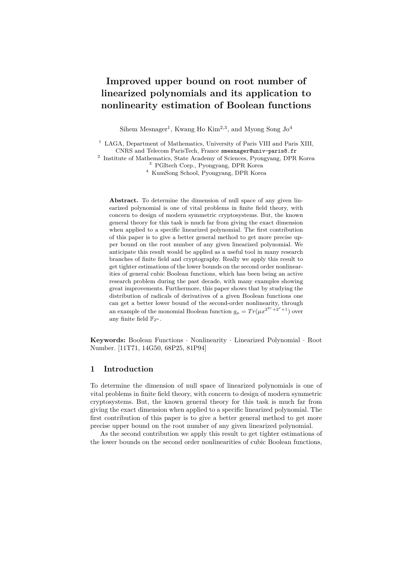# **Improved upper bound on root number of linearized polynomials and its application to nonlinearity estimation of Boolean functions**

Sihem Mesnager<sup>1</sup>, Kwang Ho Kim<sup>2,3</sup>, and Myong Song  $Jo<sup>4</sup>$ 

<sup>1</sup> LAGA, Department of Mathematics, University of Paris VIII and Paris XIII, CNRS and Telecom ParisTech, France smesnager@univ-paris8.fr

<sup>2</sup> Institute of Mathematics, State Academy of Sciences, Pyongyang, DPR Korea <sup>3</sup> PGItech Corp., Pyongyang, DPR Korea

<sup>4</sup> KumSong School, Pyongyang, DPR Korea

**Abstract.** To determine the dimension of null space of any given linearized polynomial is one of vital problems in finite field theory, with concern to design of modern symmetric cryptosystems. But, the known general theory for this task is much far from giving the exact dimension when applied to a specific linearized polynomial. The first contribution of this paper is to give a better general method to get more precise upper bound on the root number of any given linearized polynomial. We anticipate this result would be applied as a useful tool in many research branches of finite field and cryptography. Really we apply this result to get tighter estimations of the lower bounds on the second order nonlinearities of general cubic Boolean functions, which has been being an active research problem during the past decade, with many examples showing great improvements. Furthermore, this paper shows that by studying the distribution of radicals of derivatives of a given Boolean functions one can get a better lower bound of the second-order nonlinearity, through an example of the monomial Boolean function  $g_{\mu} = Tr(\mu x^{2^{2r}+2^r+1})$  over any finite field  $\mathbb{F}_{2^n}$ .

**Keywords:** Boolean Functions · Nonlinearity · Linearized Polynomial · Root Number. [11T71, 14G50, 68P25, 81P94]

#### **1 Introduction**

To determine the dimension of null space of linearized polynomials is one of vital problems in finite field theory, with concern to design of modern symmetric cryptosystems. But, the known general theory for this task is much far from giving the exact dimension when applied to a specific linearized polynomial. The first contribution of this paper is to give a better general method to get more precise upper bound on the root number of any given linearized polynomial.

As the second contribution we apply this result to get tighter estimations of the lower bounds on the second order nonlinearities of cubic Boolean functions,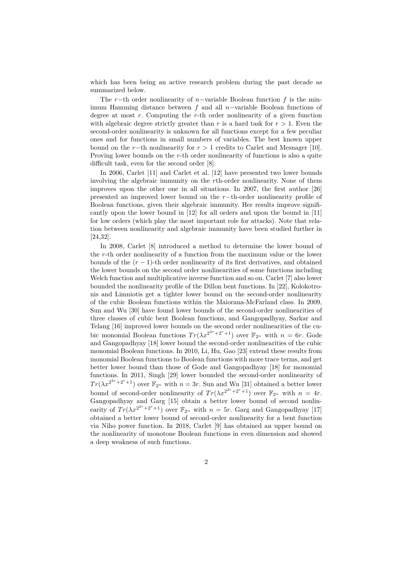which has been being an active research problem during the past decade as summarized below.

The *r*−th order nonlinearity of *n*−variable Boolean function *f* is the minimum Hamming distance between *f* and all *n*−variable Boolean functions of degree at most *r*. Computing the *r*-th order nonlinearity of a given function with algebraic degree strictly greater than  $r$  is a hard task for  $r > 1$ . Even the second-order nonlinearity is unknown for all functions except for a few peculiar ones and for functions in small numbers of variables. The best known upper bound on the  $r$ −th nonlinearity for  $r > 1$  credits to Carlet and Mesnager [10]. Proving lower bounds on the *r*-th order nonlinearity of functions is also a quite difficult task, even for the second order [8].

In 2006, Carlet [11] and Carlet et al. [12] have presented two lower bounds involving the algebraic immunity on the *r*th-order nonlinearity. None of them improves upon the other one in all situations. In 2007, the first author [26] presented an improved lower bound on the *r*−th-order nonlinearity profile of Boolean functions, given their algebraic immunity. Her results improve significantly upon the lower bound in [12] for all orders and upon the bound in [11] for low orders (which play the most important role for attacks). Note that relation between nonlinearity and algebraic immunity have been studied further in [24,32].

In 2008, Carlet [8] introduced a method to determine the lower bound of the *r*-th order nonlinearity of a function from the maximum value or the lower bounds of the  $(r - 1)$ -th order nonlinearity of its first derivatives, and obtained the lower bounds on the second order nonlinearities of some functions including Welch function and multiplicative inverse function and so on. Carlet [7] also lower bounded the nonlinearity profile of the Dillon bent functions. In [22], Kolokotronis and Limniotis get a tighter lower bound on the second-order nonlinearity of the cubic Boolean functions within the Maiorana-McFarland class. In 2009, Sun and Wu [30] have found lower bounds of the second-order nonlinearities of three classes of cubic bent Boolean functions, and Gangopadhyay, Sarkar and Telang [16] improved lower bounds on the second order nonlinearities of the cubic monomial Boolean functions  $Tr(\lambda x^{2^{2r}+2^r+1})$  over  $\mathbb{F}_{2^n}$  with  $n=6r$ . Gode and Gangopadhyay [18] lower bound the second-order nonlinearities of the cubic monomial Boolean functions. In 2010, Li, Hu, Gao [23] extend these results from monomial Boolean functions to Boolean functions with more trace terms, and get better lower bound than those of Gode and Gangopadhyay [18] for monomial functions. In 2011, Singh [29] lower bounded the second-order nonlinearity of  $Tr(\lambda x^{2^{2r}+2^r+1})$  over  $\mathbb{F}_{2^n}$  with  $n=3r$ . Sun and Wu [31] obtained a better lower bound of second-order nonlinearity of  $Tr(\lambda x^{2^{2r}+2^r+1})$  over  $\mathbb{F}_{2^n}$  with  $n=4r$ . Gangopadhyay and Garg [15] obtain a better lower bound of second nonlinearity of  $Tr(\lambda x^{2^{2r}+2^r+1})$  over  $\mathbb{F}_{2^n}$  with  $n=5r$ . Garg and Gangopadhyay [17] obtained a better lower bound of second-order nonlinearity for a bent function via Niho power function. In 2018, Carlet [9] has obtained an upper bound on the nonlinearity of monotone Boolean functions in even dimension and showed a deep weakness of such functions.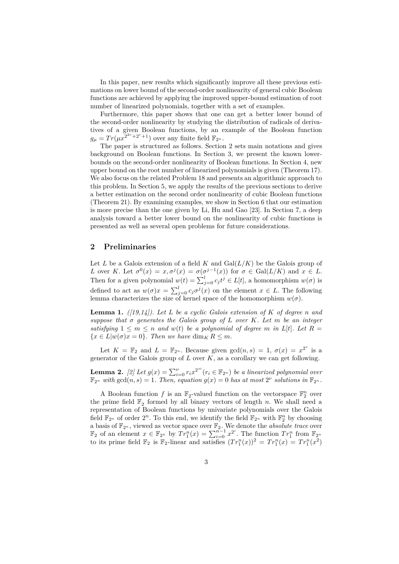In this paper, new results which significantly improve all these previous estimations on lower bound of the second-order nonlinearity of general cubic Boolean functions are achieved by applying the improved upper-bound estimation of root number of linearized polynomials, together with a set of examples.

Furthermore, this paper shows that one can get a better lower bound of the second-order nonlinearity by studying the distribution of radicals of derivatives of a given Boolean functions, by an example of the Boolean function  $g_{\mu} = Tr(\mu x^{\tilde{2}^{2r}+2^r+1})$  over any finite field  $\mathbb{F}_{2^n}$ .

The paper is structured as follows. Section 2 sets main notations and gives background on Boolean functions. In Section 3, we present the known lowerbounds on the second-order nonlinearity of Boolean functions. In Section 4, new upper bound on the root number of linearized polynomials is given (Theorem 17). We also focus on the related Problem 18 and presents an algorithmic approach to this problem. In Section 5, we apply the results of the previous sections to derive a better estimation on the second order nonlinearity of cubic Boolean functions (Theorem 21). By examining examples, we show in Section 6 that our estimation is more precise than the one given by Li, Hu and Gao [23]. In Section 7, a deep analysis toward a better lower bound on the nonlinearity of cubic functions is presented as well as several open problems for future considerations.

### **2 Preliminaries**

Let *L* be a Galois extension of a field *K* and  $Gal(L/K)$  be the Galois group of *L* over *K*. Let  $\sigma^0(x) = x, \sigma^j(x) = \sigma(\sigma^{j-1}(x))$  for  $\sigma \in \text{Gal}(L/K)$  and  $x \in L$ . Then for a given polynomial  $w(t) = \sum_{j=0}^{l} c_j t^j \in L[t]$ , a homomorphism  $w(\sigma)$  is defined to act as  $w(\sigma)x = \sum_{j=0}^{l} c_j \sigma^j(x)$  on the element  $x \in L$ . The following lemma characterizes the size of kernel space of the homomorphism  $w(\sigma)$ .

**Lemma 1.** *([19,14]). Let L be a cyclic Galois extension of K of degree n and suppose that σ generates the Galois group of L over K. Let m be an integer satisfying*  $1 \leq m \leq n$  *and*  $w(t)$  *be a polynomial of degree m in*  $L[t]$ *. Let*  $R =$  ${x \in L | w(\sigma) x = 0}.$  Then we have  $\dim_K R \leq m$ .

Let  $K = \mathbb{F}_2$  and  $L = \mathbb{F}_{2^n}$ . Because given  $gcd(n, s) = 1, \sigma(x) = x^{2^s}$  is a generator of the Galois group of *L* over *K*, as a corollary we can get following.

**Lemma 2.** [2] Let  $g(x) = \sum_{i=0}^{\nu} r_i x^{2^{si}} (r_i \in \mathbb{F}_{2^n})$  be a linearized polynomial over  $\mathbb{F}_{2^n}$  with  $gcd(n, s) = 1$ . Then, equation  $g(x) = 0$  has at most  $2^{\nu}$  solutions in  $\mathbb{F}_{2^n}$ .

A Boolean function  $f$  is an  $\mathbb{F}_2$ -valued function on the vectorspace  $\mathbb{F}_2^n$  over the prime field  $\mathbb{F}_2$  formed by all binary vectors of length *n*. We shall need a representation of Boolean functions by univariate polynomials over the Galois field  $\mathbb{F}_{2^n}$  of order  $2^n$ . To this end, we identify the field  $\mathbb{F}_{2^n}$  with  $\mathbb{F}_2^n$  by choosing a basis of  $\mathbb{F}_{2^n}$ , viewed as vector space over  $\mathbb{F}_2$ . We denote the *absolute trace* over  $\mathbb{F}_2$  of an element  $x \in \mathbb{F}_{2^n}$  by  $Tr_1^n(x) = \sum_{i=0}^{n-1} x^{2^i}$ . The function  $Tr_1^n$  from  $\mathbb{F}_{2^n}$ to its prime field  $\mathbb{F}_2$  is  $\mathbb{F}_2$ -linear and satisfies  $(Tr_1^n(x))^2 = Tr_1^n(x) = Tr_1^n(x^2)$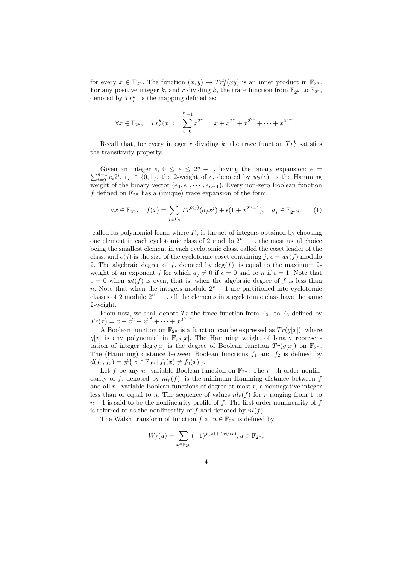for every  $x \in \mathbb{F}_{2^n}$ . The function  $(x, y) \to Tr_1^n(xy)$  is an inner product in  $\mathbb{F}_{2^n}$ . For any positive integer *k*, and *r* dividing *k*, the trace function from  $\mathbb{F}_{2^k}$  to  $\mathbb{F}_{2^r}$ , denoted by  $Tr_r^k$ , is the mapping defined as:

$$
\forall x \in \mathbb{F}_{2^k}, \quad Tr_r^k(x) := \sum_{i=0}^{\frac{k}{r}-1} x^{2^{ir}} = x + x^{2^r} + x^{2^{2r}} + \dots + x^{2^{k-r}}.
$$

Recall that, for every integer *r* dividing *k*, the trace function  $Tr_r^k$  satisfies the transitivity property.

.

Given an integer  $e, 0 \le e \le 2^n - 1$ , having the binary expansion:  $e =$  $\sum_{i=0}^{n-1} e_i 2^i$ ,  $e_i \in \{0,1\}$ , the 2-weight of *e*, denoted by  $w_2(e)$ , is the Hamming weight of the binary vector  $(e_0, e_1, \dots, e_{n-1})$ . Every non-zero Boolean function *f* defined on  $\mathbb{F}_{2^n}$  has a (unique) trace expansion of the form:

$$
\forall x \in \mathbb{F}_{2^n}, \quad f(x) = \sum_{j \in \Gamma_n} Tr_1^{o(j)}(a_j x^j) + \epsilon (1 + x^{2^n - 1}), \quad a_j \in \mathbb{F}_{2^{o(j)}} \tag{1}
$$

called its polynomial form, where  $\Gamma_n$  is the set of integers obtained by choosing one element in each cyclotomic class of 2 modulo  $2<sup>n</sup> - 1$ , the most usual choice being the smallest element in each cyclotomic class, called the coset leader of the class, and  $o(j)$  is the size of the cyclotomic coset containing  $j, \epsilon = wt(f)$  modulo 2. The algebraic degree of  $f$ , denoted by  $deg(f)$ , is equal to the maximum 2weight of an exponent *j* for which  $a_j \neq 0$  if  $\epsilon = 0$  and to *n* if  $\epsilon = 1$ . Note that  $\epsilon = 0$  when  $wt(f)$  is even, that is, when the algebraic degree of f is less than *n*. Note that when the integers modulo  $2^n - 1$  are partitioned into cyclotomic classes of 2 modulo  $2^n - 1$ , all the elements in a cyclotomic class have the same 2-weight.

From now, we shall denote  $Tr$  the trace function from  $\mathbb{F}_{2^n}$  to  $\mathbb{F}_2$  defined by  $Tr(x) = x + x^2 + x^{2^2} + \cdots + x^{2^{n-1}}.$ 

A Boolean function on  $\mathbb{F}_{2^n}$  is a function can be expressed as  $Tr(g[x])$ , where  $g[x]$  is any polynomial in  $\mathbb{F}_{2^n}[x]$ . The Hamming weight of binary representation of integer deg  $g[x]$  is the degree of Boolean function  $Tr(g[x])$  on  $\mathbb{F}_{2^n}$ . The (Hamming) distance between Boolean functions  $f_1$  and  $f_2$  is defined by  $d(f_1, f_2) = \# \{ x \in \mathbb{F}_{2^n} \mid f_1(x) \neq f_2(x) \}.$ 

Let *f* be any *n*−variable Boolean function on  $\mathbb{F}_{2^n}$ . The *r*−th order nonlinearity of  $f$ , denoted by  $nl_r(f)$ , is the minimum Hamming distance between  $f$ and all *n*−variable Boolean functions of degree at most *r*, a nonnegative integer less than or equal to *n*. The sequence of values  $nl_r(f)$  for *r* ranging from 1 to  $n-1$  is said to be the nonlinearity profile of *f*. The first order nonlinearity of *f* is referred to as the nonlinearity of  $f$  and denoted by  $nl(f)$ .

The Walsh transform of function *f* at  $u \in \mathbb{F}_{2^n}$  is defined by

$$
W_f(u) = \sum_{x \in \mathbb{F}_{2^n}} (-1)^{f(x) + Tr(ux)}, u \in \mathbb{F}_{2^n},
$$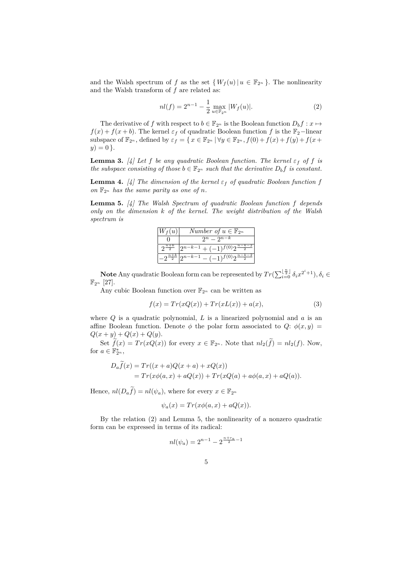and the Walsh spectrum of *f* as the set  $\{W_f(u) | u \in \mathbb{F}_{2^n}\}.$  The nonlinearity and the Walsh transform of *f* are related as:

$$
nl(f) = 2^{n-1} - \frac{1}{2} \max_{u \in \mathbb{F}_{2^n}} |W_f(u)|.
$$
 (2)

The derivative of *f* with respect to  $b \in \mathbb{F}_{2^n}$  is the Boolean function  $D_b f : x \mapsto$  $f(x) + f(x + b)$ . The kernel  $\varepsilon_f$  of quadratic Boolean function *f* is the  $\mathbb{F}_2$ -linear subspace of  $\mathbb{F}_{2^n}$ , defined by  $\varepsilon_f = \{ x \in \mathbb{F}_{2^n} \mid \forall y \in \mathbb{F}_{2^n}, f(0) + f(x) + f(y) + f(x + y) \}$  $y) = 0$ .

**Lemma 3.** [4] Let *f* be any quadratic Boolean function. The kernel  $\varepsilon_f$  of *f* is *the subspace consisting of those*  $b \in \mathbb{F}_{2^n}$  *such that the derivative*  $D_b f$  *is constant.* 

**Lemma 4.** [4] The dimension of the kernel  $\varepsilon_f$  of quadratic Boolean function f on  $\mathbb{F}_{2^n}$  *has the same parity as one of n.* 

**Lemma 5.** *[4] The Walsh Spectrum of quadratic Boolean function f depends only on the dimension k of the kernel. The weight distribution of the Walsh spectrum is*

| $W_f(u)$             | Number of $u \in \mathbb{F}_{2^n}$                      |
|----------------------|---------------------------------------------------------|
|                      | $2^n - 2^{n-k}$                                         |
|                      | $\left 2^{n-k-1}+(-1)^{f(0)}2^{\frac{n-k-2}{2}}\right $ |
| $.9^{\frac{n+k}{2}}$ | $-(-1)^{f(0)}2^{\frac{n-k-2}{2}}$<br>$2^{n-k-1}$        |

**Note** Any quadratic Boolean form can be represented by  $Tr(\sum_{i=0}^{\lfloor \frac{n}{2} \rfloor} \delta_i x^{2^i+1}), \delta_i \in$  $\mathbb{F}_{2^n}$  [27].

Any cubic Boolean function over  $\mathbb{F}_{2^n}$  can be written as

$$
f(x) = Tr(xQ(x)) + Tr(xL(x)) + a(x),
$$
\n(3)

where *Q* is a quadratic polynomial, *L* is a linearized polynomial and *a* is an affine Boolean function. Denote  $\phi$  the polar form associated to  $Q: \phi(x, y) =$  $Q(x + y) + Q(x) + Q(y).$ 

Set  $\widetilde{f}(x) = Tr(xQ(x))$  for every  $x \in \mathbb{F}_{2^n}$ . Note that  $nl_2(\widetilde{f}) = nl_2(f)$ . Now, for  $a \in \mathbb{F}_{2^n}^*$ ,

$$
D_a f(x) = Tr((x+a)Q(x+a) + xQ(x))
$$
  
=  $Tr(x\phi(a, x) + aQ(x)) + Tr(xQ(a) + a\phi(a, x) + aQ(a)).$ 

Hence,  $nl(D_a\widetilde{f}) = nl(\psi_a)$ , where for every  $x \in \mathbb{F}_{2^n}$ 

$$
\psi_a(x) = Tr(x\phi(a, x) + aQ(x)).
$$

By the relation (2) and Lemma 5, the nonlinearity of a nonzero quadratic form can be expressed in terms of its radical:

$$
nl(\psi_a) = 2^{n-1} - 2^{\frac{n+r_a}{2} - 1}
$$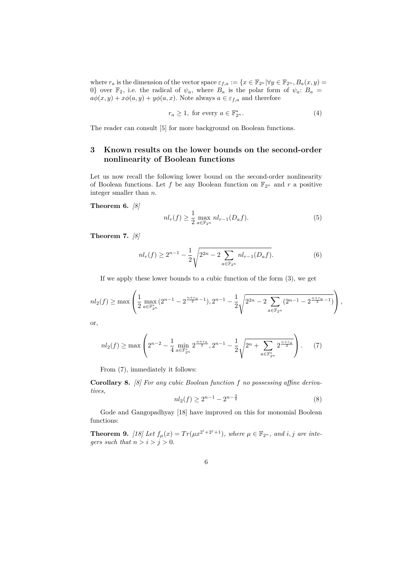where  $r_a$  is the dimension of the vector space  $\varepsilon_{f,a} := \{x \in \mathbb{F}_{2^n} | \forall y \in \mathbb{F}_{2^n}, B_a(x, y) =$ 0} over  $\mathbb{F}_2$ , i.e. the radical of  $\psi_a$ , where  $B_a$  is the polar form of  $\psi_a$ :  $B_a$  =  $a\phi(x, y) + x\phi(a, y) + y\phi(a, x)$ . Note always  $a \in \varepsilon_{f,a}$  and therefore

$$
r_a \ge 1, \text{ for every } a \in \mathbb{F}_{2^n}^*.\tag{4}
$$

The reader can consult [5] for more background on Boolean functions.

# **3 Known results on the lower bounds on the second-order nonlinearity of Boolean functions**

Let us now recall the following lower bound on the second-order nonlinearity of Boolean functions. Let  $f$  be any Boolean function on  $\mathbb{F}_{2^n}$  and  $r$  a positive integer smaller than *n*.

**Theorem 6.** *[8]*

$$
nl_r(f) \ge \frac{1}{2} \max_{a \in \mathbb{F}_{2^n}} nl_{r-1}(D_a f). \tag{5}
$$

**Theorem 7.** *[8]*

$$
nl_r(f) \ge 2^{n-1} - \frac{1}{2} \sqrt{2^{2n} - 2 \sum_{a \in \mathbb{F}_{2^n}} nl_{r-1}(D_a f)}.
$$
 (6)

If we apply these lower bounds to a cubic function of the form (3), we get

$$
nl_2(f) \ge \max\left(\frac{1}{2}\max_{a\in\mathbb{F}_{2^n}^*} (2^{n-1} - 2^{\frac{n+r_a}{2}-1}), 2^{n-1} - \frac{1}{2}\sqrt{2^{2n} - 2\sum_{a\in\mathbb{F}_{2^n}} (2^{n-1} - 2^{\frac{n+r_a}{2}-1})}\right),
$$

or,

$$
nl_2(f) \ge \max\left(2^{n-2} - \frac{1}{4} \min_{a \in \mathbb{F}_{2^n}^*} 2^{\frac{n+r_a}{2}}, 2^{n-1} - \frac{1}{2} \sqrt{2^n + \sum_{a \in \mathbb{F}_{2^n}^*} 2^{\frac{n+r_a}{2}}}\right). \tag{7}
$$

From (7), immediately it follows:

**Corollary 8.** *[8] For any cubic Boolean function f no possessing affine derivatives,*

$$
nl_2(f) \ge 2^{n-1} - 2^{n - \frac{3}{2}}\tag{8}
$$

Gode and Gangopadhyay [18] have improved on this for monomial Boolean functions:

**Theorem 9.** [18] Let  $f_{\mu}(x) = Tr(\mu x^{2^{i}+2^{j}+1})$ , where  $\mu \in \mathbb{F}_{2^{n}}$ , and *i*, *j* are inte*gers such that*  $n > i > j > 0$ *.*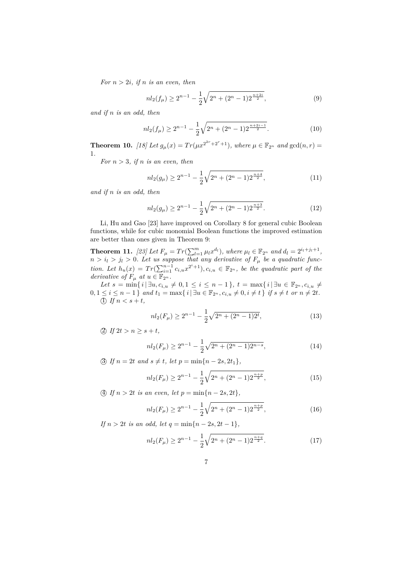*For*  $n > 2i$ *, if*  $n$  *is an even, then* 

$$
nl_2(f_\mu) \ge 2^{n-1} - \frac{1}{2}\sqrt{2^n + (2^n - 1)2^{\frac{n+2i}{2}}},\tag{9}
$$

*and if n is an odd, then*

$$
nl_2(f_\mu) \ge 2^{n-1} - \frac{1}{2}\sqrt{2^n + (2^n - 1)2^{\frac{n+2i-1}{2}}}.
$$
\n(10)

**Theorem 10.** [18] Let  $g_{\mu}(x) = Tr(\mu x^{2^{2r}+2^r+1})$ , where  $\mu \in \mathbb{F}_{2^n}$  and  $gcd(n,r) =$ 1*.*

*For*  $n > 3$ *, if*  $n$  *is an even, then* 

$$
nl_2(g_\mu) \ge 2^{n-1} - \frac{1}{2}\sqrt{2^n + (2^n - 1)2^{\frac{n+4}{2}}},\tag{11}
$$

*and if n is an odd, then*

$$
nl_2(g_\mu) \ge 2^{n-1} - \frac{1}{2}\sqrt{2^n + (2^n - 1)2^{\frac{n+3}{2}}}.
$$
\n(12)

Li, Hu and Gao [23] have improved on Corollary 8 for general cubic Boolean functions, while for cubic monomial Boolean functions the improved estimation are better than ones given in Theorem 9:

**Theorem 11.** [23] Let  $F_{\mu} = Tr(\sum_{l=1}^{m} \mu_l x^{d_l})$ , where  $\mu_l \in \mathbb{F}_{2^n}$  and  $d_l = 2^{i_l + j_l + 1}$ ,  $n > i_l > j_l > 0$ . Let us suppose that any derivative of  $F_\mu$  be a quadratic func*tion. Let*  $h_u(x) = Tr(\sum_{i=1}^{n-1} c_{i,u}x^{2^i+1}), c_{i,u} \in \mathbb{F}_{2^n}$ , be the quadratic part of the *derivative of*  $F_{\mu}$  *at*  $u \in \mathbb{F}_{2^n}$ *.* 

*Let*  $s = \min\{i | \exists u, c_{i,u} \neq 0, 1 \leq i \leq n-1\}, t = \max\{i | \exists u \in \mathbb{F}_{2^n}, c_{i,u} \neq 0\}$  $0, 1 \leq i \leq n-1$  } and  $t_1 = \max\{i | \exists u \in \mathbb{F}_{2^n}, c_{i,u} \neq 0, i \neq t\}$  if  $s \neq t$  or  $n \neq 2t$ . (1) If  $n < s + t$ ,

$$
nl_2(F_\mu) \ge 2^{n-1} - \frac{1}{2}\sqrt{2^n + (2^n - 1)2^t},\tag{13}
$$

(2) If  $2t > n \geq s + t$ ,

$$
nl_2(F_\mu) \ge 2^{n-1} - \frac{1}{2}\sqrt{2^n + (2^n - 1)2^{n-s}},\tag{14}
$$

3) If  $n = 2t$  and  $s \neq t$ , let  $p = \min\{n - 2s, 2t_1\}$ ,

$$
nl_2(F_\mu) \ge 2^{n-1} - \frac{1}{2}\sqrt{2^n + (2^n - 1)2^{\frac{n+p}{2}}},\tag{15}
$$

(4) If  $n > 2t$  is an even, let  $p = \min\{n - 2s, 2t\}$ ,

$$
nl_2(F_\mu) \ge 2^{n-1} - \frac{1}{2}\sqrt{2^n + (2^n - 1)2^{\frac{n+p}{2}}},\tag{16}
$$

*If*  $n > 2t$  *is an odd, let*  $q = \min\{n - 2s, 2t - 1\}$ *,* 

$$
nl_2(F_\mu) \ge 2^{n-1} - \frac{1}{2}\sqrt{2^n + (2^n - 1)2^{\frac{n+q}{2}}}.
$$
\n(17)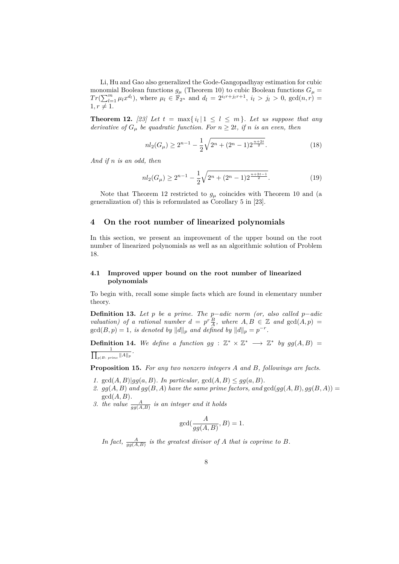Li, Hu and Gao also generalized the Gode-Gangopadhyay estimation for cubic monomial Boolean functions  $g_{\mu}$  (Theorem 10) to cubic Boolean functions  $G_{\mu}$  =  $Tr(\sum_{l=1}^{m} \mu_l x^{d_l})$ , where  $\mu_l \in \mathbb{F}_{2^n}$  and  $d_l = 2^{i_l r + j_l r + 1}$ ,  $i_l > j_l > 0$ ,  $gcd(n, r) =$  $1, r \neq 1.$ 

**Theorem 12.** [23] Let  $t = \max\{i_l | 1 \leq l \leq m\}$ . Let us suppose that any *derivative of*  $G_{\mu}$  *be quadratic function. For*  $n \geq 2t$ *, if n is an even, then* 

$$
nl_2(G_\mu) \ge 2^{n-1} - \frac{1}{2}\sqrt{2^n + (2^n - 1)2^{\frac{n+2t}{2}}}.
$$
\n(18)

*And if n is an odd, then*

$$
nl_2(G_\mu) \ge 2^{n-1} - \frac{1}{2}\sqrt{2^n + (2^n - 1)2^{\frac{n+2t-1}{2}}}.
$$
\n(19)

Note that Theorem 12 restricted to  $g_\mu$  coincides with Theorem 10 and (a generalization of) this is reformulated as Corollary 5 in [23].

### **4 On the root number of linearized polynomials**

In this section, we present an improvement of the upper bound on the root number of linearized polynomials as well as an algorithmic solution of Problem 18.

#### **4.1 Improved upper bound on the root number of linearized polynomials**

To begin with, recall some simple facts which are found in elementary number theory.

**Definition 13.** *Let p be a prime. The p*−*adic norm (or, also called p*−*adic valuation)* of a rational number  $d = p^r \frac{B}{A}$ , where  $A, B \in \mathbb{Z}$  and  $gcd(A, p) =$  $gcd(B, p) = 1$ *, is denoted by*  $||d||_p$  *and defined by*  $||d||_p = p^{-r}$ *.* 

**Definition 14.** We define a function  $gg : \mathbb{Z}^* \times \mathbb{Z}^* \longrightarrow \mathbb{Z}^*$  by  $gg(A, B) =$  $\frac{1}{\prod_{n\mid B\mid B}}$  $\frac{1}{p|B: \, prime} \|A\|_p$ .

**Proposition 15.** *For any two nonzero integers A and B, followings are facts.*

- *1.*  $gcd(A, B)|gg(a, B)$ *. In particular,*  $gcd(A, B) \leq gg(a, B)$ *.*
- 2.  $gg(A, B)$  and  $gg(B, A)$  have the same prime factors, and  $gcd(gg(A, B), gg(B, A))$ gcd(*A, B*)*.*
- 3. the value  $\frac{A}{gg(A,B)}$  is an integer and it holds

$$
\gcd(\frac{A}{gg(A,B)}, B) = 1.
$$

In fact,  $\frac{A}{gg(A,B)}$  is the greatest divisor of *A* that is coprime to *B*.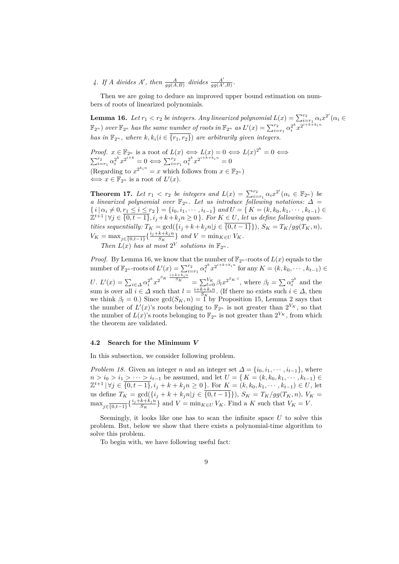4. If *A* divides *A'*, then  $\frac{A}{gg(A,B)}$  divides  $\frac{A'}{gg(A')}$  $\frac{A'}{gg(A',B)}$ .

Then we are going to deduce an improved upper bound estimation on numbers of roots of linearized polynomials.

**Lemma 16.** *Let*  $r_1 < r_2$  *be integers. Any linearized polynomial*  $L(x) = \sum_{i=r_1}^{r_2} \alpha_i x^{2^i} (\alpha_i \in$  $\mathbb{F}_{2^n}$  *over*  $\mathbb{F}_{2^n}$  *has the same number of roots in*  $\mathbb{F}_{2^n}$  *as*  $L'(x) = \sum_{i=r_1}^{r_2} \alpha_i^{2^k} x^{2^{i+k+k_1n}}$ *has in*  $\mathbb{F}_{2^n}$ *, where*  $k, k_i$  ( $i \in \{r_1, r_2\}$ ) are arbitrarily given integers.

*Proof.*  $x \in \mathbb{F}_{2^n}$  is a root of  $L(x) \iff L(x) = 0 \iff L(x)^{2^k} = 0 \iff$  $\sum_{i=r_1}^{r_2} \alpha_i^{2^k} x^{2^{i+k}} = 0 \iff \sum_{i=r_1}^{r_2} \alpha_i^{2^k} x^{2^{i+k+k_in}} = 0$ (Regarding to  $x^{2^{k}i^n} = x$  which follows from  $x \in \mathbb{F}_{2^n}$ )  $\Leftrightarrow$   $x \in \mathbb{F}_{2^n}$  is a root of  $L'(x)$ .

**Theorem 17.** *Let*  $r_1 < r_2$  *be integers and*  $L(x) = \sum_{i=r_1}^{r_2} \alpha_i x^{2^i} (\alpha_i \in \mathbb{F}_{2^n})$  *be a linearized polynomial over*  $\mathbb{F}_{2^n}$ . Let us introduce following notations:  $\Delta =$  $\{i \mid \alpha_i \neq 0, r_1 \leq i \leq r_2\} = \{i_0, i_1, \cdots, i_{t-1}\}$  and  $U = \{K = (k, k_0, k_1, \cdots, k_{t-1}) \in$  $\mathbb{Z}^{t+1} | \forall j \in \overline{\{0,t-1\}}, i_j + k + k_j n \geq 0 \}$ . For  $K \in U$ , let us define following quantities sequentially:  $T_K = \gcd(\{i_j + k + k_j n | j \in \{0, t-1\}\}), S_K = T_K / gg(T_K, n),$  $V_K = \max_{j \in \{0, t-1\}} \left\{ \frac{i_j + k + k_j n}{S_K} \right\}$  $\left\{\frac{\kappa + \kappa_j n}{S_K}\right\}$  *and*  $V = \min_{K \in U} V_K$ . *Then*  $L(x)$  *has at most*  $2^V$  *solutions in*  $\mathbb{F}_{2^n}$ *.* 

*Proof.* By Lemma 16, we know that the number of  $\mathbb{F}_{2^n}$ -roots of  $L(x)$  equals to the number of  $\mathbb{F}_{2^n}$ -roots of  $L'(x) = \sum_{i=r_1}^{r_2} \alpha_i^{2^k} x^{2^{i+k+k}+i}$  for any  $K = (k, k_0, \dots, k_{t-1}) \in$  $U. L'(x) = \sum_{i \in \Delta} \alpha_i^{2^k} x^{2^{S_K} \cdot \frac{i+k+k_in}{S_K}} = \sum_{l=0}^{V_K} \beta_l x^{2^{S_K \cdot l}},$  where  $\beta_l = \sum_{i \in \Delta} \alpha_i^{2^k}$  and the sum is over all  $i \in \Delta$  such that  $l = \frac{i+k+k_i n}{S_K}$ . (If there no exists such  $i \in \Delta$ , then we think  $\beta_l = 0$ .) Since  $gcd(S_K, n) = 1$  by Proposition 15, Lemma 2 says that the number of  $L'(x)$ 's roots belonging to  $\mathbb{F}_{2^n}$  is not greater than  $2^{V_K}$ , so that the number of  $L(x)$ 's roots belonging to  $\mathbb{F}_{2^n}$  is not greater than  $2^{V_K}$ , from which the theorem are validated.

#### **4.2 Search for the Minimum** *V*

In this subsection, we consider following problem.

*Problem 18.* Given an integer *n* and an integer set  $\Delta = \{i_0, i_1, \dots, i_{t-1}\}\$ , where *n* > *i*<sub>0</sub> > *i*<sub>1</sub> > · · · > *i*<sub>*t*−1</sub> be assumed, and let *U* = { *K* = (*k, k*<sub>0</sub>*, k*<sub>1</sub>*,* · · · *, k*<sub>*t*−1</sub>) ∈  $\mathbb{Z}^{t+1}$  | ∀*j* ∈  $\overline{\{0,t-1\}}$ ,  $i_j + k + k_j n \ge 0$  }. For  $K = (k, k_0, k_1, \dots, k_{t-1}) \in U$ , let us define  $T_K = \gcd(\{i_j + k + k_jn | j \in \{0, t-1\}\})$ ,  $S_K = T_K/gg(T_K, n)$ ,  $V_K =$  $\max_{j \in \{0, t-1\}} \left\{ \frac{i_j + k_j n}{S_K} \right\}$  $\binom{k+k+n}{S_K}$  and  $V = \min_{K \in U} V_K$ . Find a *K* such that  $V_K = V$ .

Seemingly, it looks like one has to scan the infinite space *U* to solve this problem. But, below we show that there exists a polynomial-time algorithm to solve this problem.

To begin with, we have following useful fact: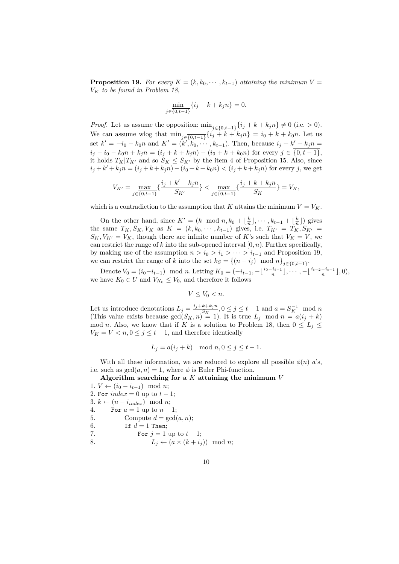**Proposition 19.** For every  $K = (k, k_0, \dots, k_{t-1})$  attaining the minimum  $V =$ *V<sup>K</sup> to be found in Problem 18,*

$$
\min_{j \in \{0, t-1\}} \{i_j + k + k_j n\} = 0.
$$

*Proof.* Let us assume the opposition:  $\min_{j \in \{0, t-1\}} \{i_j + k + k_j n\} \neq 0$  (i.e. > 0). We can assume wlog that  $\min_{j \in \{0, t-1\}} \{i_j + k + k_j n\} = i_0 + k + k_0 n$ . Let us set  $k' = -i_0 - k_0 n$  and  $K' = (k', k_0, \dots, k_{t-1})$ . Then, because  $i_j + k' + k_j n =$  $i_j - i_0 - k_0 n + k_j n = (i_j + k + k_j n) - (i_0 + k + k_0 n)$  for every  $j \in \{0, t-1\}$ , it holds  $T_K|T_{K'}$  and so  $S_K \leq S_{K'}$  by the item 4 of Proposition 15. Also, since  $i_j + k' + k_j n = (i_j + k + k_j n) - (i_0 + k + k_0 n) < (i_j + k + k_j n)$  for every j, we get

$$
V_{K'} = \max_{j \in \{0,t-1\}} \{ \frac{i_j + k' + k_j n}{S_{K'}} \} < \max_{j \in \{0,t-1\}} \{ \frac{i_j + k + k_j n}{S_K} \} = V_K,
$$

which is a contradiction to the assumption that *K* attains the minimum  $V = V_K$ .

On the other hand, since  $K' = (k \mod n, k_0 + \lfloor \frac{k}{n} \rfloor, \cdots, k_{t-1} + \lfloor \frac{k}{n} \rfloor)$  gives the same  $T_K$ ,  $S_K$ ,  $V_K$  as  $K = (k, k_0, \dots, k_{t-1})$  gives, i.e.  $T_{K'} = T_K$ ,  $S_{K'} =$  $S_K$ ,  $V_{K'} = V_K$ , though there are infinite number of *K*'s such that  $V_K = V$ , we can restrict the range of  $k$  into the sub-opened interval  $[0, n)$ . Further specifically, by making use of the assumption  $n > i_0 > i_1 > \cdots > i_{t-1}$  and Proposition 19, we can restrict the range of *k* into the set  $k_S = \{(n - i_j) \mod n\}_{j \in \overline{\{0, t-1\}}}$ .

Denote  $V_0 = (i_0 - i_{t-1}) \mod n$ . Letting  $K_0 = (-i_{t-1}, -\lfloor \frac{i_0 - i_{t-1}}{n} \rfloor, \cdots, -\lfloor \frac{i_{t-2} - i_{t-1}}{n} \rfloor, 0),$ we have  $K_0 \in U$  and  $V_{K_0} \leq V_0$ , and therefore it follows

$$
V \le V_0 < n.
$$

Let us introduce denotations  $L_j = \frac{i_j + k + k_j n}{S_K}$  $\frac{k+k_jn}{S_K}$ ,  $0 \le j \le t-1$  and  $a = S_K^{-1}$  mod *n* (This value exists because  $gcd(S_K, n) = 1$ ). It is true  $L_j \mod n = a(i_j + k)$ mod *n*. Also, we know that if *K* is a solution to Problem 18, then  $0 \leq L_i \leq$  $V_K = V \lt n, 0 \le j \le t - 1$ , and therefore identically

$$
L_j = a(i_j + k) \mod n, 0 \le j \le t - 1.
$$

With all these information, we are reduced to explore all possible  $\phi(n)$  *a*'s, i.e. such as  $gcd(a, n) = 1$ , where  $\phi$  is Euler Phi-function.

**Algorithm searching for a** *K* **attaining the minimum** *V* 1. *V* ←  $(i_0 - i_{t-1})$  mod *n*;

- 2. For  $index = 0$  up to  $t 1$ ; 3.  $k \leftarrow (n - i_{index}) \mod n$ ; 4. For  $a = 1$  up to  $n - 1$ ; 5. Compute  $d = \gcd(a, n)$ ; 6. If  $d=1$  Then; 7. For  $j = 1$  up to  $t - 1$ ;
- 8.  $L_i \leftarrow (a \times (k + i_i)) \mod n;$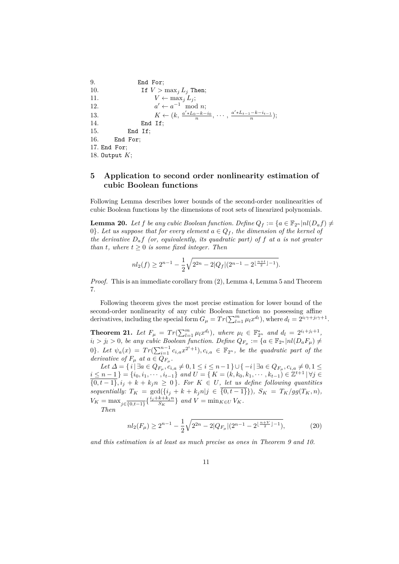```
9. End For;
10. If V > \max_j L_j Then;
11. V \leftarrow \max_j L_j;12. a
                     ' \leftarrow a^{-1} \mod n;13. K \leftarrow (k, \frac{a' * L_0 - k - i_0}{n}, \dots, \frac{a' * L_{t-1} - k - i_{t-1}}{n});14. End If;
15. End If;
16. End For;
17. End For;
18. Output K;
```
# **5 Application to second order nonlinearity estimation of cubic Boolean functions**

Following Lemma describes lower bounds of the second-order nonlinearities of cubic Boolean functions by the dimensions of root sets of linearized polynomials.

**Lemma 20.** Let *f* be any cubic Boolean function. Define  $Q_f := \{a \in \mathbb{F}_{2^n} | nl(D_a f) \neq$ 0}*. Let us suppose that for every element*  $a \in Q_f$ , the dimension of the kernel of *the derivative Daf (or, equivalently, its quadratic part) of f at a is not greater than t*, where  $t \geq 0$  *is some fixed integer. Then* 

$$
nl_2(f) \ge 2^{n-1} - \frac{1}{2}\sqrt{2^{2n} - 2|Q_f|(2^{n-1} - 2^{\lfloor \frac{n+t}{2} \rfloor - 1})}.
$$

*Proof.* This is an immediate corollary from  $(2)$ , Lemma 4, Lemma 5 and Theorem 7.

Following theorem gives the most precise estimation for lower bound of the second-order nonlinearity of any cubic Boolean function no possessing affine derivatives, including the special form  $G_{\mu} = Tr(\sum_{l=1}^{m} \mu_l x^{d_l})$ , where  $d_l = 2^{i_l \gamma + j_l \gamma + 1}$ .

**Theorem 21.** Let  $F_{\mu} = Tr(\sum_{l=1}^{m} \mu_l x^{d_l})$ , where  $\mu_l \in \mathbb{F}_{2^n}^*$  and  $d_l = 2^{i_l + j_l + 1}$ ,  $i_l > j_l > 0$ , be any cubic Boolean function. Define  $Q_{F_\mu} := \{a \in \mathbb{F}_{2^n} | nl(D_a F_\mu) \neq 0\}$ 0}*.* Let  $\psi_a(x) = Tr(\sum_{i=1}^{n-1} c_{i,a}x^{2^i+1}), c_{i,a} \in \mathbb{F}_{2^n}$ , be the quadratic part of the *derivative of*  $F_{\mu}$  *at*  $a \in Q_{F_{\mu}}$ .

 $Let \Delta = \{ i | \exists a \in Q_{F_{\mu}}, c_{i,a} \neq 0, 1 \leq i \leq n-1 \} \cup \{-i | \exists a \in Q_{F_{\mu}}, c_{i,a} \neq 0, 1 \leq i \leq n-1 \}$  $i \leq n-1$  } = { $i_0, i_1, \cdots, i_{t-1}$ } *and*  $U = \{ K = (k, k_0, k_1, \cdots, k_{t-1}) \in \mathbb{Z}^{t+1} | \forall j \in \mathbb{Z}$  $\{0, t-1\}$ ,  $i_j + k + k_j n \geq 0$ . For  $K \in U$ , let us define following quantities  $sequentially: T_K = \gcd(\{i_j + k + k_jn | j \in \{0, t-1\}\}), S_K = T_K/gg(T_K, n)$  $V_K = \max_{j \in \{0, t-1\}} \left\{ \frac{i_j + k + k_j n}{S_K} \right\}$  $\left\{\frac{\kappa + \kappa_j n}{S_K}\right\}$  *and*  $V = \min_{K \in U} V_K$ .

*Then*

$$
nl_2(F_\mu) \ge 2^{n-1} - \frac{1}{2} \sqrt{2^{2n} - 2|Q_{F_\mu}| (2^{n-1} - 2^{\lfloor \frac{n+V}{2} \rfloor - 1})},\tag{20}
$$

*and this estimation is at least as much precise as ones in Theorem 9 and 10.*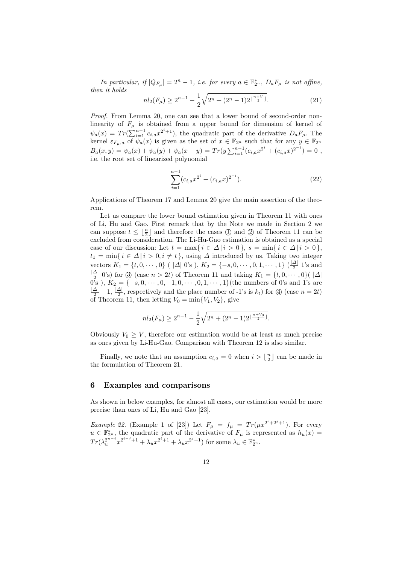*In particular, if*  $|Q_{F_\mu}| = 2^n - 1$ *, i.e. for every*  $a \in \mathbb{F}_{2^n}^*$ *,*  $D_a F_\mu$  *is not affine, then it holds*

$$
nl_2(F_\mu) \ge 2^{n-1} - \frac{1}{2}\sqrt{2^n + (2^n - 1)2^{\lfloor \frac{n+V}{2} \rfloor}}.
$$
\n(21)

*Proof.* From Lemma 20, one can see that a lower bound of second-order nonlinearity of  $F_\mu$  is obtained from a upper bound for dimension of kernel of  $\psi_a(x) = Tr(\sum_{i=1}^{n-1} c_{i,a} x^{2^i+1}),$  the quadratic part of the derivative  $D_a F_\mu$ . The kernel  $\varepsilon_{F_\mu,a}$  of  $\psi_a(x)$  is given as the set of  $x \in \mathbb{F}_{2^n}$  such that for any  $y \in \mathbb{F}_{2^n}$  $B_a(x,y) = \psi_a(x) + \psi_a(y) + \psi_a(x+y) = Tr(y \sum_{i=1}^{n-1} (c_{i,a}x^{2^i} + (c_{i,a}x)^{2^{-i}}) = 0$ , i.e. the root set of linearized polynomial

$$
\sum_{i=1}^{n-1} (c_{i,a}x^{2^i} + (c_{i,a}x)^{2^{-i}}).
$$
 (22)

Applications of Theorem 17 and Lemma 20 give the main assertion of the theorem.

Let us compare the lower bound estimation given in Theorem 11 with ones of Li, Hu and Gao. First remark that by the Note we made in Section 2 we can suppose  $t \leq \lfloor \frac{n}{2} \rfloor$  and therefore the cases  $\Box$ ) and  $\Box$ ) of Theorem 11 can be excluded from consideration. The Li-Hu-Gao estimation is obtained as a special case of our discussion: Let  $t = \max\{i \in \Delta | i > 0\}$ ,  $s = \min\{i \in \Delta | i > 0\}$ ,  $t_1 = \min\{i \in \Delta \mid i > 0, i \neq t\}$ , using  $\Delta$  introduced by us. Taking two integer vectors  $K_1 = \{t, 0, \dots, 0\}$  (  $|\Delta|$  0's ),  $K_2 = \{-s, 0, \dots, 0, 1, \dots, 1\}$  ( $\frac{|\Delta|}{2}$  $\frac{\Delta_1}{2}$  1's and |*∆*|  $\frac{21}{2}$  (0's) for  $\Im$  (case  $n > 2t$ ) of Theorem 11 and taking  $K_1 = \{t, 0, \dots, 0\}$  |  $\Delta$ | 0's ),  $K_2 = \{-s, 0, \dots, 0, -1, 0, \dots, 0, 1, \dots, 1\}$  (the numbers of 0's and 1's are  $\frac{|\Delta|}{2} - 1$ ,  $\frac{|\Delta|}{2}$ , respectively and the place number of -1's is  $k_t$ ) for  $\textcircled{4}$  (case  $n = 2t$ )  $\frac{21}{2}$ , respectively and the place number of -1's is  $k_t$ ) for  $\textcircled{4}$  (case  $n = 2t$ ) of Theorem 11, then letting  $V_0 = \min\{V_1, V_2\}$ , give

$$
nl_2(F_{\mu}) \ge 2^{n-1} - \frac{1}{2}\sqrt{2^n + (2^n - 1)2^{\lfloor \frac{n + V_0}{2} \rfloor}}.
$$

Obviously  $V_0 \geq V$ , therefore our estimation would be at least as much precise as ones given by Li-Hu-Gao. Comparison with Theorem 12 is also similar.

Finally, we note that an assumption  $c_{i,a} = 0$  when  $i > \lfloor \frac{n}{2} \rfloor$  can be made in the formulation of Theorem 21.

## **6 Examples and comparisons**

As shown in below examples, for almost all cases, our estimation would be more precise than ones of Li, Hu and Gao [23].

*Example 22.* (Example 1 of [23]) Let  $F_{\mu} = f_{\mu} = Tr(\mu x^{2^{i}+2^{j}+1})$ . For every  $u \in \mathbb{F}_{2^n}^*$ , the quadratic part of the derivative of  $F_\mu$  is represented as  $h_u(x) =$  $Tr(\lambda_{u}^{2^{n-j}}x^{2^{i-j}+1} + \lambda_{u}x^{2^{i}+1} + \lambda_{u}x^{2^{j}+1})$  for some  $\lambda_{u} \in \mathbb{F}_{2^{n}}^{*}$ .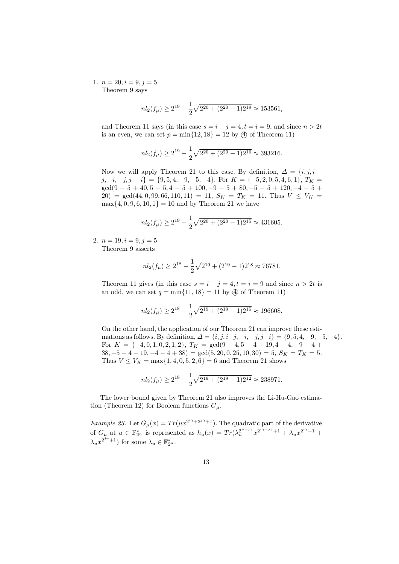1.  $n = 20, i = 9, j = 5$ Theorem 9 says

$$
nl_2(f_\mu) \ge 2^{19} - \frac{1}{2}\sqrt{2^{20} + (2^{20} - 1)2^{19}} \approx 153561,
$$

and Theorem 11 says (in this case  $s = i - j = 4, t = i = 9$ , and since  $n > 2t$ is an even, we can set  $p = \min\{12, 18\} = 12$  by  $\textcircled{4}$  of Theorem 11)

$$
nl_2(f_\mu) \ge 2^{19} - \frac{1}{2}\sqrt{2^{20} + (2^{20} - 1)2^{16}} \approx 393216.
$$

Now we will apply Theorem 21 to this case. By definition,  $\Delta = \{i, j, i$  $j, -i, -j, j - i$ } = {9, 5, 4, -9, -5, -4}. For  $K = \{-5, 2, 0, 5, 4, 6, 1\}$ ,  $T_K =$ gcd(9 − 5 + 40*,* 5 − 5*,* 4 − 5 + 100*,* −9 − 5 + 80*,* −5 − 5 + 120*,* −4 − 5 + 20) =  $gcd(44, 0, 99, 66, 110, 11) = 11$ ,  $S_K = T_K = 11$ . Thus  $V \leq V_K =$  $max{4, 0, 9, 6, 10, 1} = 10$  and by Theorem 21 we have

$$
nl_2(f_\mu) \ge 2^{19} - \frac{1}{2}\sqrt{2^{20} + (2^{20} - 1)2^{15}} \approx 431605.
$$

2.  $n = 19, i = 9, j = 5$ Theorem 9 asserts

$$
nl_2(f_\mu) \ge 2^{18} - \frac{1}{2}\sqrt{2^{19} + (2^{19} - 1)2^{18}} \approx 76781.
$$

Theorem 11 gives (in this case  $s = i - j = 4, t = i = 9$  and since  $n > 2t$  is an odd, we can set  $q = \min\{11, 18\} = 11$  by  $\textcircled{4}$  of Theorem 11)

$$
nl_2(f_\mu) \ge 2^{18} - \frac{1}{2}\sqrt{2^{19} + (2^{19} - 1)2^{15}} \approx 196608.
$$

On the other hand, the application of our Theorem 21 can improve these estimations as follows. By definition,  $\Delta = \{i, j, i - j, -i, -j, j - i\} = \{9, 5, 4, -9, -5, -4\}.$ For  $K = \{-4, 0, 1, 0, 2, 1, 2\}, T_K = \text{gcd}(9-4, 5-4+19, 4-4, -9-4+19)$  $38, -5 - 4 + 19, -4 - 4 + 38$  =  $gcd(5, 20, 0, 25, 10, 30) = 5$ ,  $S_K = T_K = 5$ . Thus  $V \leq V_K = \max\{1, 4, 0, 5, 2, 6\} = 6$  and Theorem 21 shows

$$
nl_2(f_\mu) \ge 2^{18} - \frac{1}{2}\sqrt{2^{19} + (2^{19} - 1)2^{12}} \approx 238971.
$$

The lower bound given by Theorem 21 also improves the Li-Hu-Gao estimation (Theorem 12) for Boolean functions  $G_{\mu}$ .

*Example 23.* Let  $G_{\mu}(x) = Tr(\mu x^{2^{i\gamma}+2^{j\gamma}+1})$ . The quadratic part of the derivative of  $G_{\mu}$  at  $u \in \mathbb{F}_{2^n}^*$  is represented as  $h_u(x) = Tr(\lambda_u^{2^{n-j\gamma}} x^{2^{i\gamma-j\gamma}+1} + \lambda_u x^{2^{i\gamma}+1} + \lambda_u x^{2^{i\gamma}+1}$  $\lambda_u x^{2^{j\gamma}+1}$  for some  $\lambda_u \in \mathbb{F}_{2^n}^*$ .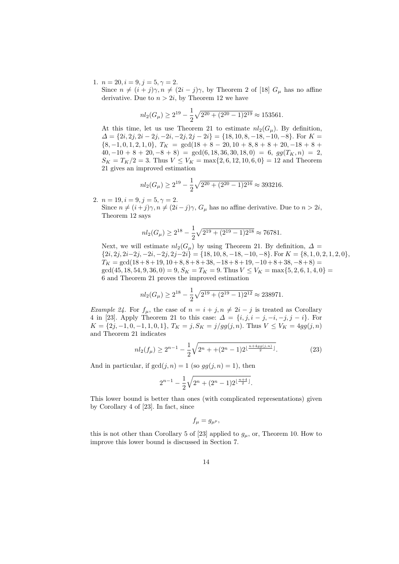1.  $n = 20, i = 9, j = 5, \gamma = 2.$ 

Since  $n \neq (i + j)\gamma, n \neq (2i - j)\gamma$ , by Theorem 2 of [18]  $G_{\mu}$  has no affine derivative. Due to  $n > 2i$ , by Theorem 12 we have

$$
nl_2(G_\mu) \ge 2^{19} - \frac{1}{2}\sqrt{2^{20} + (2^{20} - 1)2^{19}} \approx 153561.
$$

At this time, let us use Theorem 21 to estimate  $nl_2(G_\mu)$ . By definition,  $\Delta = \{2i, 2j, 2i - 2j, -2i, -2j, 2j - 2i\} = \{18, 10, 8, -18, -10, -8\}$ . For  $K =$  $\{8, -1, 0, 1, 2, 1, 0\}, T_K = \gcd(18 + 8 - 20, 10 + 8, 8 + 8 + 20, -18 + 8 + 20)$  $40, -10 + 8 + 20, -8 + 8$  = gcd(6, 18, 36, 30, 18, 0) = 6,  $gg(T_K, n) = 2$ ,  $S_K = T_K/2 = 3$ . Thus  $V \leq V_K = \max\{2, 6, 12, 10, 6, 0\} = 12$  and Theorem 21 gives an improved estimation

$$
nl_2(G_\mu) \ge 2^{19} - \frac{1}{2}\sqrt{2^{20} + (2^{20} - 1)2^{16}} \approx 393216.
$$

2.  $n = 19, i = 9, j = 5, \gamma = 2.$ 

Since  $n \neq (i + j)\gamma$ ,  $n \neq (2i - j)\gamma$ ,  $G_{\mu}$  has no affine derivative. Due to  $n > 2i$ , Theorem 12 says

$$
nl_2(G_\mu) \ge 2^{18} - \frac{1}{2}\sqrt{2^{19} + (2^{19} - 1)2^{18}} \approx 76781.
$$

Next, we will estimate  $nl_2(G_\mu)$  by using Theorem 21. By definition,  $\Delta =$  $\{2i, 2j, 2i-2j, -2i, -2j, 2j-2i\} = \{18, 10, 8, -18, -10, -8\}$ . For  $K = \{8, 1, 0, 2, 1, 2, 0\}$ ,  $T_K = \gcd(18 + 8 + 19, 10 + 8, 8 + 8 + 38, -18 + 8 + 19, -10 + 8 + 38, -8 + 8) =$  $gcd(45, 18, 54, 9, 36, 0) = 9, S_K = T_K = 9$ . Thus  $V \leq V_K = \max\{5, 2, 6, 1, 4, 0\}$ 6 and Theorem 21 proves the improved estimation

$$
nl_2(G_\mu) \ge 2^{18} - \frac{1}{2}\sqrt{2^{19} + (2^{19} - 1)2^{12}} \approx 238971.
$$

*Example 24.* For  $f_{\mu}$ , the case of  $n = i + j, n \neq 2i - j$  is treated as Corollary 4 in [23]. Apply Theorem 21 to this case:  $\Delta = \{i, j, i - j, -i, -j, j - i\}$ . For *K* = {2*j*, −1, 0, −1, 1, 0, 1},  $T_K = j$ ,  $S_K = j/gg(j, n)$ . Thus  $V ≤ V_K = 4gg(j, n)$ and Theorem 21 indicates

$$
nl_2(f_\mu) \ge 2^{n-1} - \frac{1}{2}\sqrt{2^n + (2^n - 1)2^{\lfloor \frac{n + 4gg(j,n)}{2} \rfloor}}.
$$
 (23)

And in particular, if  $gcd(j, n) = 1$  (so  $gg(j, n) = 1$ ), then

$$
2^{n-1} - \frac{1}{2}\sqrt{2^n + (2^n - 1)2^{\lfloor \frac{n+4}{2} \rfloor}}.
$$

This lower bound is better than ones (with complicated representations) given by Corollary 4 of [23]. In fact, since

$$
f_{\mu}=g_{\mu^p},
$$

this is not other than Corollary 5 of [23] applied to  $g<sub>\mu</sub>$ , or, Theorem 10. How to improve this lower bound is discussed in Section 7.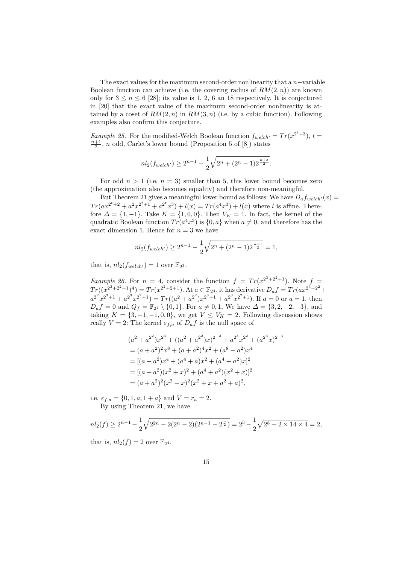The exact values for the maximum second-order nonlinearity that a *n*−variable Boolean function can achieve (i.e. the covering radius of  $RM(2, n)$ ) are known only for  $3 \le n \le 6$  [28]; its value is 1, 2, 6 an 18 respectively. It is conjectured in [20] that the exact value of the maximum second-order nonlinearity is attained by a coset of  $RM(2, n)$  in  $RM(3, n)$  (i.e. by a cubic function). Following examples also confirm this conjecture.

*Example 25.* For the modified-Welch Boolean function  $f_{\text{welch}} = Tr(x^{2^t+3}), t =$  $\frac{n+1}{2}$ , *n* odd, Carlet's lower bound (Proposition 5 of [8]) states

$$
nl_2(f_{\text{welch}'} ) \ge 2^{n-1} - \frac{1}{2} \sqrt{2^n + (2^n - 1)2^{\frac{n+3}{2}}}.
$$

For odd  $n > 1$  (i.e.  $n = 3$ ) smaller than 5, this lower bound becomes zero (the approximation also becomes equality) and therefore non-meaningful.

But Theorem 21 gives a meaningful lower bound as follows: We have  $D_a f_{welch'}(x) =$  $Tr(ax^{2^t+2} + a^2x^{2^t+1} + a^{2^t}x^3) + l(x) = Tr(a^4x^3) + l(x)$  where *l* is affine. Therefore  $\Delta = \{1, -1\}$ . Take  $K = \{1, 0, 0\}$ . Then  $V_K = 1$ . In fact, the kernel of the quadratic Boolean function  $Tr(a^4x^3)$  is  $\{0, a\}$  when  $a \neq 0$ , and therefore has the exact dimension 1. Hence for  $n = 3$  we have

$$
nl_2(f_{\text{welch}t}) \ge 2^{n-1} - \frac{1}{2}\sqrt{2^n + (2^n - 1)2^{\frac{n+1}{2}}} = 1,
$$

that is,  $nl_2(f_{\text{welch'}}) = 1$  over  $\mathbb{F}_{2^3}$ .

*Example 26.* For  $n = 4$ , consider the function  $f = Tr(x^{2^3+2^2+1})$ . Note  $f =$  $Tr((x^{2^3+2^2+1})^4) = Tr(x^{2^2+2+1})$ . At  $a \in \mathbb{F}_{2^4}$ , it has derivative  $D_a f = Tr(ax^{2^3+2^2} +$  $a^{2^2}x^{2^3+1} + a^{2^3}x^{2^2+1} = Tr((a^2 + a^{2^2})x^{2^3+1} + a^{2^3}x^{2^2+1})$ . If  $a = 0$  or  $a = 1$ , then  $D_a f = 0$  and  $Q_f = \mathbb{F}_{2^4} \setminus \{0, 1\}$ . For  $a \neq 0, 1$ , We have  $\Delta = \{3, 2, -2, -3\}$ , and taking  $K = \{3, -1, -1, 0, 0\}$ , we get  $V \leq V_K = 2$ . Following discussion shows really  $V = 2$ : The kernel  $\varepsilon_{f,a}$  of  $D_a f$  is the null space of

$$
(a2 + a22)x23 + ((a2 + a22)x)2-3 + a23x22 + (a23x)2-2= (a + a2)2x8 + (a + a2)4x2 + (a8 + a2)x4= [(a + a2)x4 + (a4 + a)x2 + (a4 + a2)x]2= [(a + a2)(x2 + x)2 + (a4 + a2)(x2 + x)]2= (a + a2)2(x2 + x)2(x2 + x + a2 + a)2,
$$

i.e.  $\varepsilon_{f,a} = \{0, 1, a, 1 + a\}$  and  $V = r_a = 2$ . By using Theorem 21, we have

$$
nl_2(f) \ge 2^{n-1} - \frac{1}{2}\sqrt{2^{2n} - 2(2^n - 2)(2^{n-1} - 2^{\frac{n}{2}})} = 2^3 - \frac{1}{2}\sqrt{2^8 - 2 \times 14 \times 4} = 2,
$$
  
that is,  $nl_2(f) = 2$  over  $\mathbb{F}_{2^4}$ .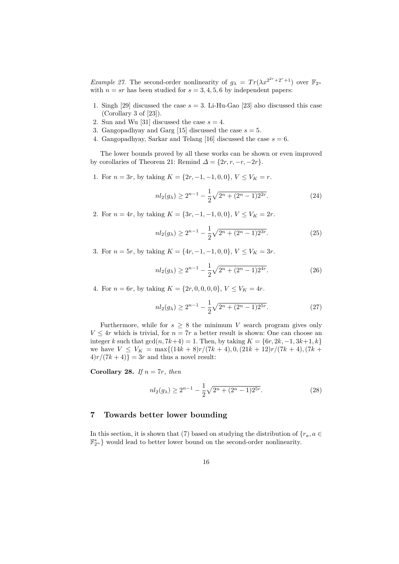*Example 27.* The second-order nonlinearity of  $g_{\lambda} = Tr(\lambda x^{2^{2r}+2^r+1})$  over  $\mathbb{F}_{2^n}$ with  $n = sr$  has been studied for  $s = 3, 4, 5, 6$  by independent papers:

- 1. Singh [29] discussed the case  $s = 3$ . Li-Hu-Gao [23] also discussed this case (Corollary 3 of [23]).
- 2. Sun and Wu [31] discussed the case  $s = 4$ .
- 3. Gangopadhyay and Garg [15] discussed the case  $s = 5$ .
- 4. Gangopadhyay, Sarkar and Telang [16] discussed the case  $s = 6$ .

The lower bounds proved by all these works can be shown or even improved by corollaries of Theorem 21: Remind  $\Delta = \{2r, r, -r, -2r\}.$ 

1. For  $n = 3r$ , by taking  $K = \{2r, -1, -1, 0, 0\}$ ,  $V \leq V_K = r$ .

$$
nl_2(g_\lambda) \ge 2^{n-1} - \frac{1}{2}\sqrt{2^n + (2^n - 1)2^{2r}}.\tag{24}
$$

2. For  $n = 4r$ , by taking  $K = \{3r, -1, -1, 0, 0\}$ ,  $V \leq V_K = 2r$ .

$$
nl_2(g_\lambda) \ge 2^{n-1} - \frac{1}{2}\sqrt{2^n + (2^n - 1)2^{3r}}.\tag{25}
$$

3. For  $n = 5r$ , by taking  $K = \{4r, -1, -1, 0, 0\}$ ,  $V \leq V_K = 3r$ .

$$
nl_2(g_\lambda) \ge 2^{n-1} - \frac{1}{2}\sqrt{2^n + (2^n - 1)2^{4r}}.\tag{26}
$$

4. For  $n = 6r$ , by taking  $K = \{2r, 0, 0, 0, 0\}$ ,  $V \leq V_K = 4r$ .

$$
nl_2(g_\lambda) \ge 2^{n-1} - \frac{1}{2}\sqrt{2^n + (2^n - 1)2^{5r}}.\tag{27}
$$

Furthermore, while for  $s \geq 8$  the minimum *V* search program gives only  $V \leq 4r$  which is trivial, for  $n = 7r$  a better result is shown: One can choose an integer *k* such that  $gcd(n, 7k+4) = 1$ . Then, by taking  $K = \{6r, 2k, -1, 3k+1, k\}$ we have  $V \leq V_K = \max\{(14k+8)r/(7k+4), 0, (21k+12)r/(7k+4), (7k+4)\}$  $4)r/(7k+4)$ } = 3*r* and thus a novel result:

**Corollary 28.** *If*  $n = 7r$ *, then* 

$$
nl_2(g_\lambda) \ge 2^{n-1} - \frac{1}{2}\sqrt{2^n + (2^n - 1)2^{5r}}.\tag{28}
$$

### **7 Towards better lower bounding**

In this section, it is shown that (7) based on studying the distribution of  ${r_a, a \in \mathbb{R}^n}$  $\mathbb{F}_{2^n}^*$  } would lead to better lower bound on the second-order nonlinearity.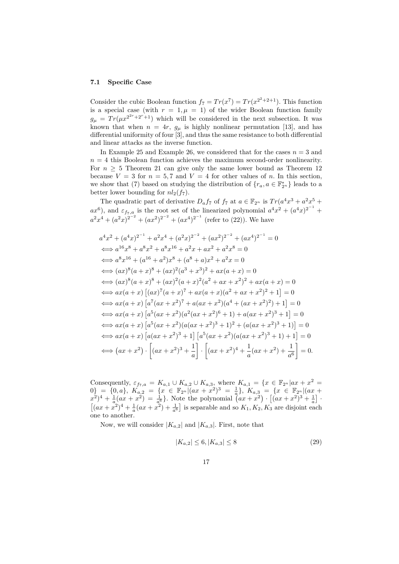#### **7.1 Specific Case**

Consider the cubic Boolean function  $f_7 = Tr(x^7) = Tr(x^{2^2+2+1})$ . This function is a special case (with  $r = 1, \mu = 1$ ) of the wider Boolean function family  $g_{\mu} = Tr(\mu x^{2^{2r}+2^r+1})$  which will be considered in the next subsection. It was known that when  $n = 4r$ ,  $g_{\mu}$  is highly nonlinear permutation [13], and has differential uniformity of four [3], and thus the same resistance to both differential and linear attacks as the inverse function.

In Example 25 and Example 26, we considered that for the cases  $n = 3$  and  $n = 4$  this Boolean function achieves the maximum second-order nonlinearity. For  $n \geq 5$  Theorem 21 can give only the same lower bound as Theorem 12 because  $V = 3$  for  $n = 5, 7$  and  $V = 4$  for other values of *n*. In this section, we show that (7) based on studying the distribution of  ${r_a, a \in \mathbb{F}_{2^n}^*}$  leads to a better lower bounding for  $nl_2(f_7)$ .

The quadratic part of derivative  $D_a f_7$  of  $f_7$  at  $a \in \mathbb{F}_{2^n}$  is  $Tr(a^4 x^3 + a^2 x^5 + a^3 x^4)$  $ax^6$ ), and  $\varepsilon_{f_7,a}$  is the root set of the linearized polynomial  $a^4x^2 + (a^4x)^{2^{-1}} +$  $a^2x^4 + (a^2x)^{2^{-2}} + (ax^2)^{2^{-2}} + (ax^4)^{2^{-1}}$  (refer to (22)). We have

$$
a^{4}x^{2} + (a^{4}x)^{2^{-1}} + a^{2}x^{4} + (a^{2}x)^{2^{-2}} + (ax^{2})^{2^{-2}} + (ax^{4})^{2^{-1}} = 0
$$
  
\n
$$
\iff a^{16}x^{8} + a^{8}x^{2} + a^{8}x^{16} + a^{2}x + ax^{2} + a^{2}x^{8} = 0
$$
  
\n
$$
\iff a^{8}x^{16} + (a^{16} + a^{2})x^{8} + (a^{8} + a)x^{2} + a^{2}x = 0
$$
  
\n
$$
\iff (ax)^{8}(a + x)^{8} + (ax)^{2}(a^{3} + x^{3})^{2} + ax(a + x) = 0
$$
  
\n
$$
\iff ax(a + x)\left[ (ax)^{7}(a + x)^{7} + ax(a + x)(a^{2} + ax + x^{2})^{2} + 1 \right] = 0
$$
  
\n
$$
\iff ax(a + x)\left[ a^{7}(ax + x^{2})^{7} + a(ax + x^{2})(a^{4} + (ax + x^{2})^{2}) + 1 \right] = 0
$$
  
\n
$$
\iff ax(a + x)\left[ a^{5}(ax + x^{2})(a^{2}(ax + x^{2})^{6} + 1) + a(ax + x^{2})^{3} + 1 \right] = 0
$$
  
\n
$$
\iff ax(a + x)\left[ a^{5}(ax + x^{2})(a(ax + x^{2})^{3} + 1)^{2} + (a(ax + x^{2})^{3} + 1) \right] = 0
$$
  
\n
$$
\iff ax(a + x)\left[ a^{6}(ax + x^{2})^{3} + 1 \right] \left[ a^{5}(ax + x^{2})(a(ax + x^{2})^{3} + 1) + 1 \right] = 0
$$
  
\n
$$
\iff ax(a + x)\left[ a(ax + x^{2})^{3} + 1 \right] \left[ a^{5}(ax + x^{2})(a(ax + x^{2})^{3} + 1) + 1 \right] = 0
$$
  
\n
$$
\iff (ax + x^{2}) \cdot \left[ (ax + x^{2})^{3} + \frac{1}{a} \right] \cdot \left[ (ax + x^{2})^{4} + \frac{1}{a}(ax + x^{2}) + \frac{1}{a^{6}} \right] = 0.
$$

Consequently,  $\varepsilon_{f_7,a} = K_{a,1} \cup K_{a,2} \cup K_{a,3}$ , where  $K_{a,1} = \{x \in \mathbb{F}_{2^n} | ax + x^2 = x\}$  $0\} = \{0, a\}, K_{a,2} = \{x \in \mathbb{F}_{2^n} | (ax + x^2)^3 = \frac{1}{a}\}, K_{a,3} = \{x \in \mathbb{F}_{2^n} | (ax + a)^2 = \frac{1}{a}\}$  $(x^2)^4 + \frac{1}{a}(ax + x^2) = \frac{1}{a^6}$ . Note the polynomial  $(ax + x^2) \cdot [(ax + x^2)^3 + \frac{1}{a}]$ .  $[(ax + x^2)^4 + \frac{1}{a}(ax + x^2) + \frac{1}{a^6}]$  is separable and so  $K_1, K_2, K_3$  are disjoint each one to another.

Now, we will consider  $|K_{a,2}|$  and  $|K_{a,3}|$ . First, note that

$$
|K_{a,2}| \le 6, |K_{a,3}| \le 8\tag{29}
$$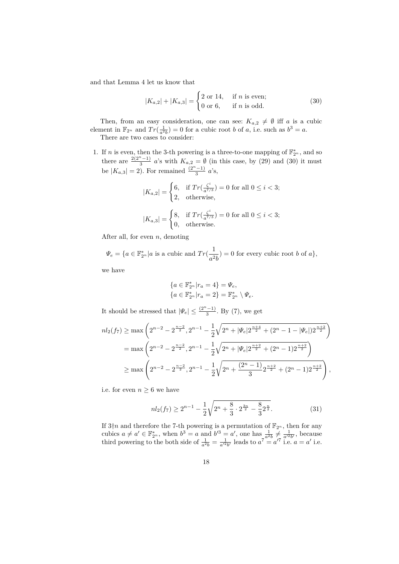and that Lemma 4 let us know that

$$
|K_{a,2}| + |K_{a,3}| = \begin{cases} 2 \text{ or } 14, & \text{if } n \text{ is even;} \\ 0 \text{ or } 6, & \text{if } n \text{ is odd.} \end{cases}
$$
 (30)

Then, from an easy consideration, one can see:  $K_{a,2} \neq \emptyset$  iff *a* is a cubic element in  $\mathbb{F}_{2^n}$  and  $Tr(\frac{1}{a^2b}) = 0$  for a cubic root *b* of *a*, i.e. such as  $b^3 = a$ .

There are two cases to consider:

1. If *n* is even, then the 3-th powering is a three-to-one mapping of  $\mathbb{F}_{2^n}^*$ , and so there are  $\frac{2(2^n-1)}{3}$  *a*'s with  $K_{a,2} = \emptyset$  (in this case, by (29) and (30) it must be  $|K_{a,3}| = 2$ ). For remained  $\frac{(2^{n}-1)}{3}$  *a*'s,

$$
|K_{a,2}| = \begin{cases} 6, & \text{if } Tr\left(\frac{\zeta^i}{a^{7/3}}\right) = 0 \text{ for all } 0 \le i < 3; \\ 2, & \text{otherwise,} \end{cases}
$$
\n
$$
|K_{a,3}| = \begin{cases} 8, & \text{if } Tr\left(\frac{\zeta^i}{a^{7/3}}\right) = 0 \text{ for all } 0 \le i < 3; \\ 0, & \text{otherwise.} \end{cases}
$$

After all, for even *n*, denoting

 $\Psi_e = \{a \in \mathbb{F}_{2^n}^* | a \text{ is a cubic and } Tr(\frac{1}{a^2})\}$  $\frac{1}{a^2b}$  = 0 for every cubic root *b* of *a*}*,* 

we have

$$
\begin{aligned} &\{a\in\mathbb{F}_{2^n}^*|r_a=4\}=\varPsi_e,\\ &\{a\in\mathbb{F}_{2^n}^*|r_a=2\}=\mathbb{F}_{2^n}^*\setminus\varPsi_e. \end{aligned}
$$

It should be stressed that  $|\Psi_e| \leq \frac{(2^n-1)}{3}$ . By (7), we get

$$
nl_2(f_7) \ge \max\left(2^{n-2} - 2^{\frac{n-2}{2}}, 2^{n-1} - \frac{1}{2}\sqrt{2^n + |\Psi_e| 2^{\frac{n+4}{2}} + (2^n - 1 - |\Psi_e|) 2^{\frac{n+2}{2}}}\right)
$$
  
=  $\max\left(2^{n-2} - 2^{\frac{n-2}{2}}, 2^{n-1} - \frac{1}{2}\sqrt{2^n + |\Psi_e| 2^{\frac{n+2}{2}} + (2^n - 1) 2^{\frac{n+2}{2}}}\right)$   
 $\ge \max\left(2^{n-2} - 2^{\frac{n-2}{2}}, 2^{n-1} - \frac{1}{2}\sqrt{2^n + \frac{(2^n - 1)}{3} 2^{\frac{n+2}{2}} + (2^n - 1) 2^{\frac{n+2}{2}}}\right)$ ,

i.e. for even  $n \geq 6$  we have

$$
nl_2(f_7) \ge 2^{n-1} - \frac{1}{2}\sqrt{2^n + \frac{8}{3} \cdot 2^{\frac{3n}{2}} - \frac{8}{3}2^{\frac{n}{2}}}. \tag{31}
$$

If  $3 \dagger n$  and therefore the 7-th powering is a permutation of  $\mathbb{F}_{2^n}$ , then for any cubics  $a \neq a' \in \mathbb{F}_{2^n}^*$ , when  $b^3 = a$  and  $b'^3 = a'$ , one has  $\frac{1}{a^{2b}} \neq \frac{1}{a'^2b'}$ , because third powering to the both side of  $\frac{1}{a^2b} = \frac{1}{a'^2b'}$  leads to  $a^7 = a'^7$  i.e.  $a = a'$  i.e.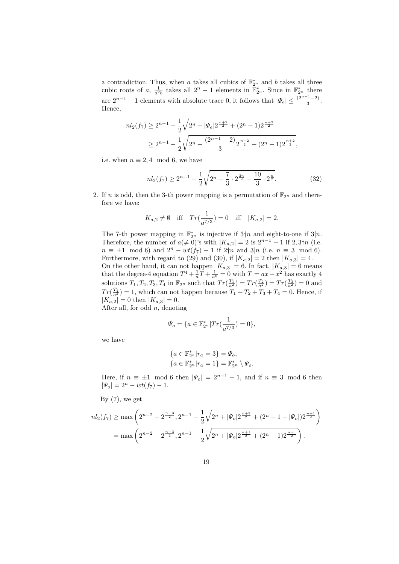a contradiction. Thus, when *a* takes all cubics of  $\mathbb{F}_{2^n}^*$  and *b* takes all three cubic roots of *a*,  $\frac{1}{a^2b}$  takes all  $2^n - 1$  elements in  $\mathbb{F}_{2^n}^*$ . Since in  $\mathbb{F}_{2^n}^*$  there are  $2^{n-1} - 1$  elements with absolute trace 0, it follows that  $|\Psi_e| \leq \frac{(2^{n-1}-2)}{3}$ . Hence,

$$
nl_2(f_7) \ge 2^{n-1} - \frac{1}{2}\sqrt{2^n + |\Psi_e| 2^{\frac{n+2}{2}} + (2^n - 1) 2^{\frac{n+2}{2}}}
$$
  
 
$$
\ge 2^{n-1} - \frac{1}{2}\sqrt{2^n + \frac{(2^{n-1} - 2)}{3} 2^{\frac{n+2}{2}} + (2^n - 1) 2^{\frac{n+2}{2}}},
$$

i.e. when  $n \equiv 2, 4 \mod 6$ , we have

$$
nl_2(f_7) \ge 2^{n-1} - \frac{1}{2}\sqrt{2^n + \frac{7}{3} \cdot 2^{\frac{3n}{2}} - \frac{10}{3} \cdot 2^{\frac{n}{2}}}. \tag{32}
$$

2. If *n* is odd, then the 3-th power mapping is a permutation of  $\mathbb{F}_{2^n}$  and therefore we have:

$$
K_{a,2} \neq \emptyset
$$
 iff  $Tr(\frac{1}{a^{7/3}}) = 0$  iff  $|K_{a,2}| = 2$ .

The 7-th power mapping in  $\mathbb{F}_{2^n}^*$  is injective if  $3\nmid n$  and eight-to-one if  $3|n$ . Therefore, the number of  $a \neq 0$ 's with  $|K_{a,2}| = 2$  is  $2^{n-1} - 1$  if  $2, 3 \nmid n$  (i.e.  $n \equiv \pm 1 \mod 6$  and  $2^n - wt(f_7) - 1$  if  $2 \nmid n$  and  $3|n$  (i.e.  $n \equiv 3 \mod 6$ ). Furthermore, with regard to (29) and (30), if  $|K_{a,2}| = 2$  then  $|K_{a,3}| = 4$ . On the other hand, it can not happen  $|K_{a,3}| = 6$ . In fact,  $|K_{a,3}| = 6$  means that the degree-4 equation  $T^4 + \frac{1}{a}T + \frac{1}{a^6} = 0$  with  $T = ax + x^2$  has exactly 4 solutions  $T_1, T_2, T_3, T_4$  in  $\mathbb{F}_{2^n}$  such that  $Tr(\frac{T_1}{a^2}) = Tr(\frac{T_2}{a^2}) = Tr(\frac{T_3}{a^2}) = 0$  and  $Tr(\frac{T_4}{a^2}) = 1$ , which can not happen because  $T_1 + T_2 + T_3 + T_4 = 0$ . Hence, if  $|K_{a,2}| = 0$  then  $|K_{a,3}| = 0$ .

After all, for odd *n*, denoting

$$
\varPsi_o = \{a \in \mathbb{F}_{2^n}^* | Tr(\frac{1}{a^{7/3}}) = 0\},
$$

we have

$$
\begin{aligned} &\{a\in\mathbb{F}_{2^n}^*|r_a=3\}=\varPsi_o,\\ &\{a\in\mathbb{F}_{2^n}^*|r_a=1\}=\mathbb{F}_{2^n}^*\setminus\varPsi_o. \end{aligned}
$$

Here, if  $n \equiv \pm 1 \mod 6$  then  $|\Psi_o| = 2^{n-1} - 1$ , and if  $n \equiv 3 \mod 6$  then  $|\Psi_o| = 2^n - wt(f_7) - 1.$ 

By  $(7)$ , we get

$$
nl_2(f_7) \ge \max\left(2^{n-2} - 2^{\frac{n-3}{2}}, 2^{n-1} - \frac{1}{2}\sqrt{2^n + |\Psi_o| 2^{\frac{n+3}{2}} + (2^n - 1 - |\Psi_o|) 2^{\frac{n+1}{2}}}\right)
$$
  
=  $\max\left(2^{n-2} - 2^{\frac{n-3}{2}}, 2^{n-1} - \frac{1}{2}\sqrt{2^n + |\Psi_o| 2^{\frac{n+1}{2}} + (2^n - 1) 2^{\frac{n+1}{2}}}\right).$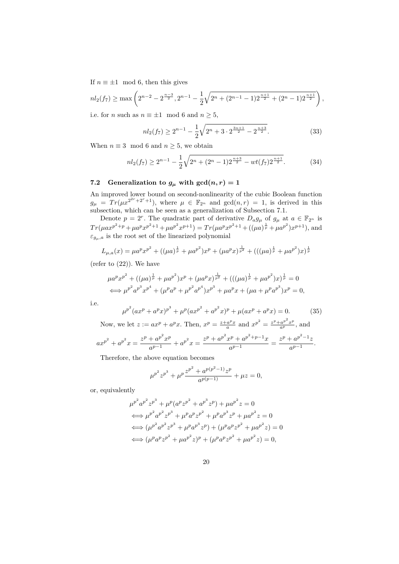If  $n \equiv \pm 1 \mod 6$ , then this gives

$$
nl_2(f_7) \ge \max\left(2^{n-2} - 2^{\frac{n-3}{2}}, 2^{n-1} - \frac{1}{2}\sqrt{2^n + (2^{n-1} - 1)2^{\frac{n+1}{2}} + (2^n - 1)2^{\frac{n+1}{2}}}\right),
$$

i.e. for *n* such as  $n \equiv \pm 1 \mod 6$  and  $n \geq 5$ ,

$$
nl_2(f_7) \ge 2^{n-1} - \frac{1}{2}\sqrt{2^n + 3 \cdot 2^{\frac{3n+1}{2}} - 2^{\frac{n+3}{2}}}.
$$
\n(33)

When  $n \equiv 3 \mod 6$  and  $n \geq 5$ , we obtain

$$
nl_2(f_7) \ge 2^{n-1} - \frac{1}{2}\sqrt{2^n + (2^n - 1)2^{\frac{n+3}{2}} - wt(f_7)2^{\frac{n+1}{2}}}.
$$
 (34)

# **7.2** Generalization to  $g_{\mu}$  with  $gcd(n,r) = 1$

An improved lower bound on second-nonlinearity of the cubic Boolean function  $g_{\mu} = Tr(\mu x^{2^{2r}+2^r+1}),$  where  $\mu \in \mathbb{F}_{2^n}$  and  $gcd(n,r) = 1$ , is derived in this subsection, which can be seen as a generalization of Subsection 7.1.

Denote  $p = 2^r$ . The quadratic part of derivative  $D_a g_\mu$  of  $g_\mu$  at  $a \in \mathbb{F}_{2^n}$  is  $Tr(\mu a x^{p^2+p} + \mu a^p x^{p^2+1} + \mu a^{p^2} x^{p+1}) = Tr(\mu a^p x^{p^2+1} + ((\mu a)^{\frac{1}{p}} + \mu a^{p^2}) x^{p+1}),$  and  $\varepsilon$ <sup>*gu*</sup>,*a* is the root set of the linearized polynomial

$$
L_{\mu,a}(x) = \mu a^p x^{p^2} + ((\mu a)^{\frac{1}{p}} + \mu a^{p^2}) x^p + (\mu a^p x)^{\frac{1}{p^2}} + (((\mu a)^{\frac{1}{p}} + \mu a^{p^2}) x)^{\frac{1}{p}}
$$

(refer to  $(22)$ ). We have

$$
\mu a^p x^{p^2} + ((\mu a)^{\frac{1}{p}} + \mu a^{p^2}) x^p + (\mu a^p x)^{\frac{1}{p^2}} + (((\mu a)^{\frac{1}{p}} + \mu a^{p^2}) x)^{\frac{1}{p}} = 0
$$
  

$$
\iff \mu^{p^2} a^{p^3} x^{p^4} + (\mu^p a^p + \mu^{p^2} a^{p^4}) x^{p^3} + \mu a^p x + (\mu a + \mu^p a^{p^3}) x^p = 0,
$$

i.e.

$$
\mu^{p^2}(ax^p + a^p x)^{p^3} + \mu^p(ax^{p^2} + a^{p^2} x)^p + \mu(ax^p + a^p x) = 0.
$$
 (35)

Now, we let  $z := ax^p + a^p x$ . Then,  $x^p = \frac{z + a^p x}{a}$  and  $x^{p^2} = \frac{z^p + a^{p^2} x^p}{a^p}$  $rac{a^p x}{a}$  and  $x^{p^2} = \frac{z^p + a^p x^p}{a^p}$ , and 2 2 *z*  $p + a$ *p* 2 *x p* 2 *z*  $p + a p^2 x^p + a^{p^2+p-1} x^p$ 

$$
ax^{p^2} + a^{p^2}x = \frac{z^p + a^{p^2}x^p}{a^{p-1}} + a^{p^2}x = \frac{z^p + a^{p^2}x^p + a^{p^2+p-1}x}{a^{p-1}} = \frac{z^p + a^{p^2-1}z}{a^{p-1}}.
$$

Therefore, the above equation becomes

$$
\mu^{p^2} z^{p^3} + \mu^p \frac{z^{p^2} + a^{p(p^2 - 1)} z^p}{a^{p(p-1)}} + \mu z = 0,
$$

 $\sim$ 

or, equivalently

$$
\mu^{p^2} a^{p^2} z^{p^3} + \mu^p (a^p z^{p^2} + a^{p^3} z^p) + \mu a^{p^2} z = 0
$$
  
\n
$$
\iff \mu^{p^2} a^{p^2} z^{p^3} + \mu^p a^p z^{p^2} + \mu^p a^{p^3} z^p + \mu a^{p^2} z = 0
$$
  
\n
$$
\iff (\mu^{p^2} a^{p^2} z^{p^3} + \mu^p a^{p^3} z^p) + (\mu^p a^p z^{p^2} + \mu a^{p^2} z) = 0
$$
  
\n
$$
\iff (\mu^p a^p z^{p^2} + \mu a^{p^2} z)^p + (\mu^p a^p z^{p^2} + \mu a^{p^2} z) = 0,
$$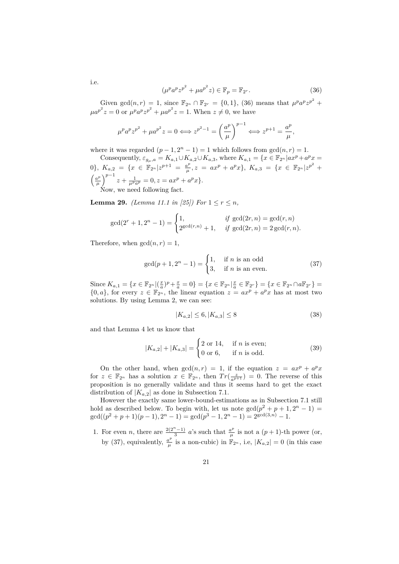$$
(\mu^p a^p z^{p^2} + \mu a^{p^2} z) \in \mathbb{F}_p = \mathbb{F}_{2^r}.
$$
 (36)

Given  $gcd(n,r) = 1$ , since  $\mathbb{F}_{2^n} \cap \mathbb{F}_{2^r} = \{0,1\}$ , (36) means that  $\mu^p a^p z^{p^2}$  +  $\mu a^{p^2}z = 0$  or  $\mu^p a^p z^{p^2} + \mu a^{p^2} z = 1$ . When  $z \neq 0$ , we have

$$
\mu^p a^p z^{p^2} + \mu a^{p^2} z = 0 \Longleftrightarrow z^{p^2 - 1} = \left(\frac{a^p}{\mu}\right)^{p - 1} \Longleftrightarrow z^{p + 1} = \frac{a^p}{\mu},
$$

where it was regarded  $(p-1, 2<sup>n</sup> - 1) = 1$  which follows from  $gcd(n, r) = 1$ .

Consequently,  $\varepsilon_{g_\mu,a} = K_{a,1} \cup K_{a,2} \cup K_{a,3}$ , where  $K_{a,1} = \{x \in \mathbb{F}_{2^n} | ax^p + a^p x = x\}$ 0},  $K_{a,2} = \{x \in \mathbb{F}_{2^n} | z^{p+1} = \frac{a^p}{\mu}$  $\frac{a^p}{\mu}, z = ax^p + a^p x$ ,  $K_{a,3} = \{x \in \mathbb{F}_{2^n} | z^{p^2} + z\}$  $\int \underline{a}^p$  $\left(\frac{u^p}{\mu}\right)^{p-1} z + \frac{1}{\mu^p a^p} = 0, z = ax^p + a^p x$ . Now, we need following fact.

**Lemma 29.** *(Lemma 11.1 in [25])* For  $1 \le r \le n$ ,

$$
\gcd(2^r + 1, 2^n - 1) = \begin{cases} 1, & \text{if } \gcd(2r, n) = \gcd(r, n) \\ 2^{\gcd(r, n)} + 1, & \text{if } \gcd(2r, n) = 2 \gcd(r, n). \end{cases}
$$

Therefore, when  $gcd(n, r) = 1$ ,

$$
\gcd(p+1, 2^n - 1) = \begin{cases} 1, & \text{if } n \text{ is an odd} \\ 3, & \text{if } n \text{ is an even.} \end{cases} \tag{37}
$$

Since  $K_{a,1} = \{x \in \mathbb{F}_{2^n} | (\frac{x}{a})^p + \frac{x}{a} = 0\} = \{x \in \mathbb{F}_{2^n} | \frac{x}{a} \in \mathbb{F}_{2^r}\} = \{x \in \mathbb{F}_{2^n} \cap a \mathbb{F}_{2^r}\} =$  $\{0, a\}$ , for every  $z \in \mathbb{F}_{2^n}$ , the linear equation  $z = ax^p + a^p x$  has at most two solutions. By using Lemma 2, we can see:

$$
|K_{a,2}| \le 6, |K_{a,3}| \le 8\tag{38}
$$

and that Lemma 4 let us know that

$$
|K_{a,2}| + |K_{a,3}| = \begin{cases} 2 \text{ or } 14, & \text{if } n \text{ is even;} \\ 0 \text{ or } 6, & \text{if } n \text{ is odd.} \end{cases}
$$
 (39)

On the other hand, when  $gcd(n,r) = 1$ , if the equation  $z = ax^p + a^p x$ for  $z \in \mathbb{F}_{2^n}$  has a solution  $x \in \mathbb{F}_{2^n}$ , then  $Tr(\frac{z}{a^{p+1}}) = 0$ . The reverse of this proposition is no generally validate and thus it seems hard to get the exact distribution of  $|K_{a,2}|$  as done in Subsection 7.1.

However the exactly same lower-bound-estimations as in Subsection 7.1 still hold as described below. To begin with, let us note  $gcd(p^2 + p + 1, 2^n - 1)$  $gcd((p^2+p+1)(p-1), 2^n-1) = gcd(p^3-1, 2^n-1) = 2^{gcd(3,n)}-1.$ 

1. For even *n*, there are  $\frac{2(2^n-1)}{3}$  *a*'s such that  $\frac{a^p}{\mu}$  $\frac{a^p}{\mu}$  is not a  $(p+1)$ -th power (or, by (37), equivalently,  $\frac{a^p}{b}$  $\frac{u^p}{\mu}$  is a non-cubic) in  $\mathbb{F}_{2^n}$ , i.e,  $|K_{a,2}| = 0$  (in this case

i.e.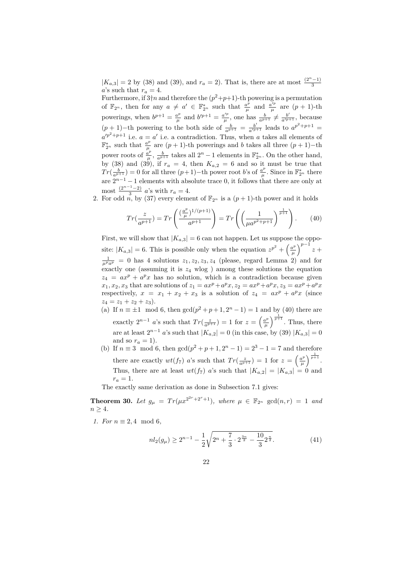$|K_{a,3}| = 2$  by (38) and (39), and  $r_a = 2$ ). That is, there are at most  $\frac{(2^n-1)}{3}$ *a*'s such that  $r_a = 4$ .

Furthermore, if  $3 \nmid n$  and therefore the  $(p^2+p+1)$ -th powering is a permutation of  $\mathbb{F}_{2^n}$ , then for any  $a \neq a' \in \mathbb{F}_{2^n}^*$  such that  $\frac{a^p}{\mu}$  $\frac{a^p}{\mu}$  and  $\frac{a'^p}{\mu}$  $\frac{u^{\prime P}}{\mu}$  are  $(p+1)$ -th powerings, when  $b^{p+1} = \frac{a^p}{b^p}$  $\frac{a^p}{\mu}$  and  $b'^{p+1} = \frac{a'^p}{\mu}$  $\frac{b'}{\mu}$ , one has  $\frac{b}{a^{p+1}} \neq \frac{b'}{a'^{p+1}}$ , because  $(p + 1)$ -th powering to the both side of  $\frac{b}{a^{p+1}} = \frac{b'}{a'^{p+1}}$  leads to  $a^{p^2+p+1}$  $a'^{p^2+p+1}$  i.e.  $a=a'$  i.e. a contradiction. Thus, when *a* takes all elements of  $\mathbb{F}_{2^n}^*$  such that  $\frac{a^p}{\mu}$  $\frac{u^{\nu}}{\mu}$  are  $(p+1)$ -th powerings and *b* takes all three  $(p+1)$ -th power roots of  $\frac{a^p}{a}$  $\frac{a^p}{\mu}$ ,  $\frac{b}{a^{p+1}}$  takes all  $2^n - 1$  elements in  $\mathbb{F}_{2^n}^*$ . On the other hand, by (38) and (39), if  $r_a = 4$ , then  $K_{a,2} = 6$  and so it must be true that  $Tr(\frac{b}{a^{p+1}}) = 0$  for all three  $(p+1)$ −th power root *b*'s of  $\frac{a^p}{\mu}$  $\frac{a^p}{\mu}$ . Since in  $\mathbb{F}_{2^n}^*$  there are  $2^{n-1} - 1$  elements with absolute trace 0, it follows that there are only at most  $\frac{(2^{n-1}-2)}{3}$  *a*'s with  $r_a = 4$ .

2. For odd *n*, by (37) every element of  $\mathbb{F}_{2^n}$  is a  $(p+1)$ -th power and it holds

$$
Tr(\frac{z}{a^{p+1}}) = Tr\left(\frac{(\frac{a^p}{\mu})^{1/(p+1)}}{a^{p+1}}\right) = Tr\left(\left(\frac{1}{\mu a^{p^2+p+1}}\right)^{\frac{1}{p+1}}\right). \tag{40}
$$

First, we will show that  $|K_{a,3}| = 6$  can not happen. Let us suppose the opposite:  $|K_{a,3}| = 6$ . This is possible only when the equation  $z^{p^2} + \left(\frac{a^p}{a}\right)^p$  $\left(\frac{a^p}{\mu}\right)^{p-1} z +$  $\frac{1}{\mu^p a^p} = 0$  has 4 solutions  $z_1, z_2, z_3, z_4$  (please, regard Lemma 2) and for exactly one (assuming it is  $z_4$  wlog) among these solutions the equation  $z_4 = ax^p + a^p x$  has no solution, which is a contradiction because given  $x_1, x_2, x_3$  that are solutions of  $z_1 = ax^p + a^p x, z_2 = ax^p + a^p x, z_3 = ax^p + a^p x$ respectively,  $x = x_1 + x_2 + x_3$  is a solution of  $z_4 = ax^p + a^p x$  (since  $z_4 = z_1 + z_2 + z_3$ .

- (a) If  $n \equiv \pm 1 \mod 6$ , then  $\gcd(p^2 + p + 1, 2^n 1) = 1$  and by (40) there are exactly  $2^{n-1}$  *a*'s such that  $Tr(\frac{z}{a^{p+1}}) = 1$  for  $z = \left(\frac{a^p}{\mu}\right)$  $\left(\frac{u^p}{\mu}\right)^{\frac{1}{p+1}}$ . Thus, there are at least  $2^{n-1}$  *a*'s such that  $|K_{a,2}| = 0$  (in this case, by (39)  $|K_{a,3}| = 0$ and so  $r_a = 1$ ).
- (b) If  $n \equiv 3 \mod 6$ , then  $\gcd(p^2 + p + 1, 2^n 1) = 2^3 1 = 7$  and therefore there are exactly  $wt(f_7)$  *a*'s such that  $Tr(\frac{z}{a^{p+1}}) = 1$  for  $z = \left(\frac{a^p}{\mu}\right)^p$  $\frac{a^p}{\mu}\bigg)^{\frac{1}{p+1}}.$ Thus, there are at least  $wt(f_7)$  *a*'s such that  $|K_{a,2}| = |K_{a,3}| = 0$  and  $r_a = 1$ .

The exactly same derivation as done in Subsection 7.1 gives:

**Theorem 30.** Let  $g_{\mu} = Tr(\mu x^{2^{2r}+2^r+1})$ , where  $\mu \in \mathbb{F}_{2^n}$  gcd $(n,r) = 1$  and  $n \geq 4$ .

*1. For*  $n \equiv 2, 4 \mod 6$ ,

$$
nl_2(g_\mu) \ge 2^{n-1} - \frac{1}{2}\sqrt{2^n + \frac{7}{3} \cdot 2^{\frac{3n}{2}} - \frac{10}{3}2^{\frac{n}{2}}}. \tag{41}
$$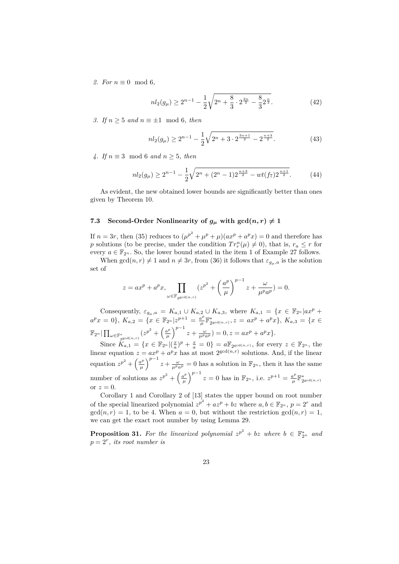2. For  $n \equiv 0 \mod 6$ ,

$$
nl_2(g_\mu) \ge 2^{n-1} - \frac{1}{2}\sqrt{2^n + \frac{8}{3} \cdot 2^{\frac{3n}{2}} - \frac{8}{3}2^{\frac{n}{2}}}.
$$
 (42)

*3. If n* ≥ 5 *and n* ≡ ±1 mod 6*, then*

$$
nl_2(g_\mu) \ge 2^{n-1} - \frac{1}{2}\sqrt{2^n + 3 \cdot 2^{\frac{3n+1}{2}} - 2^{\frac{n+3}{2}}}.
$$
 (43)

*4. If n* ≡ 3 mod 6 *and n* ≥ 5*, then*

$$
nl_2(g_\mu) \ge 2^{n-1} - \frac{1}{2}\sqrt{2^n + (2^n - 1)2^{\frac{n+3}{2}} - wt(f_7)2^{\frac{n+1}{2}}}.
$$
 (44)

As evident, the new obtained lower bounds are significantly better than ones given by Theorem 10.

### **7.3** Second-Order Nonlinearity of  $g_\mu$  with  $gcd(n, r) \neq 1$

If  $n = 3r$ , then (35) reduces to  $(\mu^{p^2} + \mu^p + \mu)(ax^p + a^p x) = 0$  and therefore has *p* solutions (to be precise, under the condition  $Tr_r^n(\mu) \neq 0$ ), that is,  $r_a \leq r$  for every  $a \in \mathbb{F}_{2^n}$ . So, the lower bound stated in the item 1 of Example 27 follows.

When  $gcd(n, r) \neq 1$  and  $n \neq 3r$ , from (36) it follows that  $\varepsilon_{g_n, a}$  is the solution set of

$$
z = ax^p + a^p x, \prod_{\omega \in \mathbb{F}_{2^{\gcd(n,r)}}} \left(z^{p^2} + \left(\frac{a^p}{\mu}\right)^{p-1} z + \frac{\omega}{\mu^p a^p}\right) = 0.
$$

Consequently,  $\varepsilon_{g_{\mu},a} = K_{a,1} \cup K_{a,2} \cup K_{a,3}$ , where  $K_{a,1} = \{x \in \mathbb{F}_{2^n} | ax^p +$  $a^p x = 0$ ,  $K_{a,2} = \{x \in \mathbb{F}_{2^n} | z^{p+1} = \frac{a^p}{b}$  $\frac{a^p}{\mu} \mathbb{F}_{2^{\gcd(n,r)}}^*$ ,  $z = ax^p + a^p x$ ,  $K_{a,3} = \{x \in$  $\mathbb{F}_{2^n}|\prod_{\omega\in \mathbb{F}_{2^{\gcd(n,r)}}^*} (z^{p^2} + \left(\frac{a^p}{\mu}\right)$  $\left(\frac{u^p}{\mu}\right)^{p-1} z + \frac{\omega}{\mu^p a^p} = 0, z = ax^p + a^p x.$ 

Since  $K_{a,1} = \{x \in \mathbb{F}_{2^n} | (\frac{x}{a})^p + \frac{x}{a} = 0\} = a \mathbb{F}_{2^{\gcd(n,r)}},$  for every  $z \in \mathbb{F}_{2^n}$ , the linear equation  $z = ax^p + a^p x$  has at most  $2^{\gcd(n,r)}$  solutions. And, if the linear equation  $z^{p^2} + \left(\frac{a^p}{a}\right)^p$  $\left(\frac{n^p}{\mu}\right)^{p-1} z + \frac{\omega}{\mu^p a^p} = 0$  has a solution in  $\mathbb{F}_{2^n}$ , then it has the same number of solutions as  $z^{p^2} + \left(\frac{a^p}{b}\right)^p$  $\left(\frac{u^p}{\mu}\right)^{p-1} z = 0$  has in  $\mathbb{F}_{2^n}$ , i.e.  $z^{p+1} = \frac{a^p}{\mu}$  $\frac{a^p}{\mu} \mathbb{F}^*_{2^{\gcd(n,r)}}$ or  $z=0$ .

Corollary 1 and Corollary 2 of [13] states the upper bound on root number of the special linearized polynomial  $z^{p^2} + az^p + bz$  where  $a, b \in \mathbb{F}_{2^n}$ ,  $p = 2^r$  and  $gcd(n, r) = 1$ , to be 4. When  $a = 0$ , but without the restriction  $gcd(n, r) = 1$ , we can get the exact root number by using Lemma 29.

**Proposition 31.** For the linearized polynomial  $z^{p^2} + bz$  where  $b \in \mathbb{F}_{2^n}^*$  and  $p = 2<sup>r</sup>$ , *its root number is*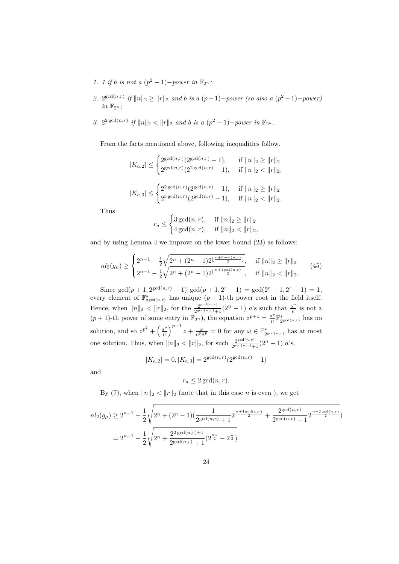- *1. 1* if *b* is not a  $(p^2 1)$ -power in  $\mathbb{F}_{2^n}$ ;
- 2.  $2^{\gcd(n,r)}$  *if*  $||n||_2 \ge ||r||_2$  *and b is a*  $(p-1)$ *-power (so also a*  $(p^2-1)$ *-power)*  $in \mathbb{F}_{2^n}$ ;
- *3.*  $2^{2 \gcd(n,r)}$  *if*  $||n||_2 < ||r||_2$  *and b is a*  $(p^2 1)$ *-power in*  $\mathbb{F}_{2^n}$ *.*

From the facts mentioned above, following inequalities follow.

$$
|K_{a,2}| \leq \begin{cases} 2^{\gcd(n,r)}(2^{\gcd(n,r)}-1), & \text{if } \|n\|_2 \geq \|r\|_2 \\ 2^{\gcd(n,r)}(2^{2\gcd(n,r)}-1), & \text{if } \|n\|_2 < \|r\|_2. \end{cases}
$$
  

$$
|K_{a,3}| \leq \begin{cases} 2^{2\gcd(n,r)}(2^{\gcd(n,r)}-1), & \text{if } \|n\|_2 \geq \|r\|_2 \\ 2^{3\gcd(n,r)}(2^{\gcd(n,r)}-1), & \text{if } \|n\|_2 < \|r\|_2. \end{cases}
$$

Thus

$$
r_a \leq \begin{cases} 3 \gcd(n,r), & \text{if } \|n\|_2 \geq \|r\|_2 \\ 4 \gcd(n,r), & \text{if } \|n\|_2 < \|r\|_2, \end{cases}
$$

and by using Lemma 4 we improve on the lower bound (23) as follows:

$$
nl_2(g_{\mu}) \ge \begin{cases} 2^{n-1} - \frac{1}{2} \sqrt{2^n + (2^n - 1)2^{\lfloor \frac{n+3gcd(n,r)}{2} \rfloor}}, & \text{if } \|n\|_2 \ge \|r\|_2 \\ 2^{n-1} - \frac{1}{2} \sqrt{2^n + (2^n - 1)2^{\lfloor \frac{n+4gcd(n,r)}{2} \rfloor}}, & \text{if } \|n\|_2 < \|r\|_2. \end{cases}
$$
(45)

Since  $\gcd(p+1, 2^{\gcd(n,r)}-1)| \gcd(p+1, 2^r-1) = \gcd(2^r+1, 2^r-1) = 1$ every element of  $\mathbb{F}_{2^{\gcd(n,r)}}^*$  has unique  $(p+1)$ -th power root in the field itself. Hence, when  $||n||_2 < ||r||_2$ , for the  $\frac{2^{\gcd(n,r)}}{2^{\gcd(n,r)}+1}$  $\frac{2^{\gcd(n,r)}}{2^{\gcd(n,r)}+1}$  (2<sup>*n*</sup> - 1) *a*'s such that  $\frac{a^p}{\mu}$  $\frac{a^{\nu}}{\mu}$  is not a  $(p+1)$ -th power of some entry in  $\mathbb{F}_{2^n}$ ), the equation  $z^{p+1} = \frac{a^p}{p}$  $\frac{a^p}{\mu} \mathbb{F}^*_{2^{\gcd(n,r)}}$  has no solution, and so  $z^{p^2} + \left(\frac{a^p}{a}\right)^p$  $\left(\frac{u^p}{\mu}\right)^{p-1} z + \frac{\omega}{\mu^p a^p} = 0$  for any  $\omega \in \mathbb{F}_{2\text{gcd}(n,r)}^*$  has at most one solution. Thus, when  $||n||_2 < ||r||_2$ , for such  $\frac{2^{\gcd(n,r)}}{2^{\gcd(n,r)}}$  $\frac{2^{\gcd(n,r)}}{2^{\gcd(n,r)}+1}$   $(2^n-1)$  *a*'s,

$$
|K_{a,2}| = 0, |K_{a,3}| = 2^{\gcd(n,r)}(2^{\gcd(n,r)} - 1)
$$

and

$$
r_a \leq 2 \gcd(n, r).
$$

By (7), when  $||n||_2 < ||r||_2$  (note that in this case *n* is even), we get

$$
nl_2(g_\mu) \ge 2^{n-1} - \frac{1}{2} \sqrt{2^n + (2^n - 1) \left(\frac{1}{2^{\gcd(n,r)} + 1} 2^{\frac{n + 4\gcd(n,r)}{2}} + \frac{2^{\gcd(n,r)}}{2^{\gcd(n,r)} + 1} 2^{\frac{n + 2\gcd(n,r)}{2}}\right)}
$$
  
=  $2^{n-1} - \frac{1}{2} \sqrt{2^n + \frac{2^2 \gcd(n,r) + 1}{2^{\gcd(n,r)} + 1} (2^{\frac{3n}{2}} - 2^{\frac{n}{2}})}.$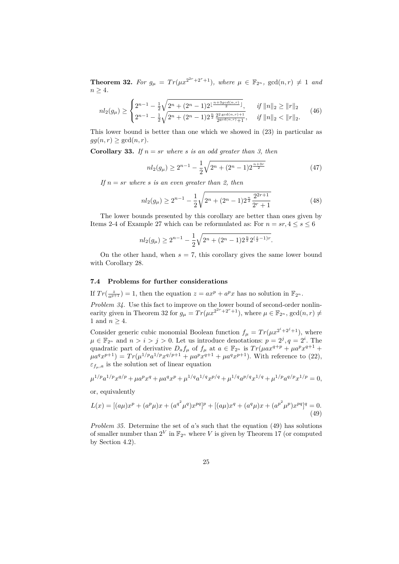**Theorem 32.** For  $g_{\mu} = Tr(\mu x^{2^{2r}+2^r+1})$ , where  $\mu \in \mathbb{F}_{2^n}$ ,  $gcd(n,r) \neq 1$  and  $n \geq 4$ .

$$
nl_2(g_\mu) \ge \begin{cases} 2^{n-1} - \frac{1}{2} \sqrt{2^n + (2^n - 1)2^{\lfloor \frac{n+3gcd(n,r)}{2} \rfloor}}, & \text{if } \|n\|_2 \ge \|r\|_2 \\ 2^{n-1} - \frac{1}{2} \sqrt{2^n + (2^n - 1)2^{\frac{n}{2}} \frac{2^2 \gcd(n,r) + 1}{2^{\gcd(n,r)} + 1}}, & \text{if } \|n\|_2 < \|r\|_2. \end{cases} (46)
$$

This lower bound is better than one which we showed in (23) in particular as  $gg(n,r) \geq \gcd(n,r)$ .

**Corollary 33.** *If*  $n = sr$  *where s is an odd greater than 3, then* 

$$
nl_2(g_\mu) \ge 2^{n-1} - \frac{1}{2}\sqrt{2^n + (2^n - 1)2^{\frac{n+3r}{2}}}
$$
\n(47)

*If*  $n = sr$  *where s is an even greater than 2, then* 

$$
nl_2(g_\mu) \ge 2^{n-1} - \frac{1}{2} \sqrt{2^n + (2^n - 1)2^{\frac{n}{2}} \frac{2^{2r+1}}{2^r + 1}}
$$
(48)

The lower bounds presented by this corollary are better than ones given by Items 2-4 of Example 27 which can be reformulated as: For  $n = sr, 4 \leq s \leq 6$ 

$$
nl_2(g_\mu) \ge 2^{n-1} - \frac{1}{2}\sqrt{2^n + (2^n - 1)2^{\frac{n}{2}}2^{(\frac{s}{2} - 1)r}}.
$$

On the other hand, when  $s = 7$ , this corollary gives the same lower bound with Corollary 28.

### **7.4 Problems for further considerations**

If  $Tr(\frac{z}{a^{p+1}}) = 1$ , then the equation  $z = ax^p + a^p x$  has no solution in  $\mathbb{F}_{2^n}$ .

*Problem 34.* Use this fact to improve on the lower bound of second-order nonlinearity given in Theorem 32 for  $g_{\mu} = Tr(\mu x^{2^{2r}+2^r+1})$ , where  $\mu \in \mathbb{F}_{2^n}$ ,  $gcd(n,r) \neq$ 1 and  $n \geq 4$ .

Consider generic cubic monomial Boolean function  $f_{\mu} = Tr(\mu x^{2^{i}+2^{j}+1})$ , where  $\mu \in \mathbb{F}_{2^n}$  and  $n > i > j > 0$ . Let us introduce denotations:  $p = 2^j, q = 2^i$ . The quadratic part of derivative  $D_a f_\mu$  of  $f_\mu$  at  $a \in \mathbb{F}_{2^n}$  is  $Tr(\mu a x^{q+p} + \mu a^p x^{q+1} +$  $\mu a^q x^{p+1}$  =  $Tr(\mu^{1/p} a^{1/p} x^{q/p+1} + \mu a^p x^{q+1} + \mu a^q x^{p+1})$ . With reference to (22),  $\varepsilon_{f_\mu,a}$  is the solution set of linear equation

$$
\mu^{1/p}a^{1/p}x^{q/p} + \mu a^px^q + \mu a^qx^p + \mu^{1/q}a^{1/q}x^{p/q} + \mu^{1/q}a^{p/q}x^{1/q} + \mu^{1/p}a^{q/p}x^{1/p} = 0,
$$

or, equivalently

$$
L(x) = [(a\mu)x^{p} + (a^{p}\mu)x + (a^{q^{2}}\mu^{q})x^{pq}]^{p} + [(a\mu)x^{q} + (a^{q}\mu)x + (a^{p^{2}}\mu^{p})x^{pq}]^{q} = 0.
$$
\n(49)

*Problem 35.* Determine the set of *a*'s such that the equation (49) has solutions of smaller number than  $2^V$  in  $\mathbb{F}_{2^n}$  where *V* is given by Theorem 17 (or computed by Section 4.2).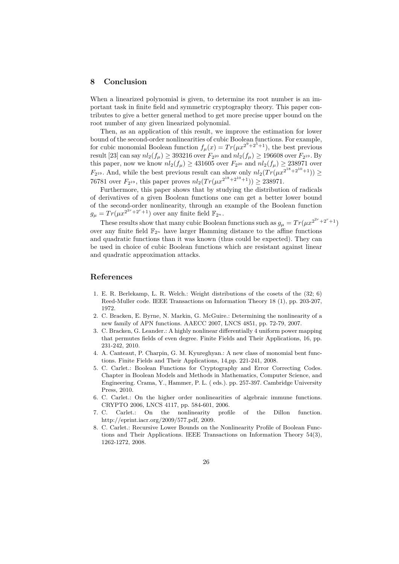#### **8 Conclusion**

When a linearized polynomial is given, to determine its root number is an important task in finite field and symmetric cryptography theory. This paper contributes to give a better general method to get more precise upper bound on the root number of any given linearized polynomial.

Then, as an application of this result, we improve the estimation for lower bound of the second-order nonlinearities of cubic Boolean functions. For example, for cubic monomial Boolean function  $f_{\mu}(x) = Tr(\mu x^{2^9+2^5+1})$ , the best previous result [23] can say  $nl_2(f_\mu) \geq 393216$  over  $F_{2^{20}}$  and  $nl_2(f_\mu) \geq 196608$  over  $F_{2^{19}}.$  By this paper, now we know  $nl_2(f_\mu) \geq 431605$  over  $F_{2^{20}}$  and  $nl_2(f_\mu) \geq 238971$  over  $F_{2^{19}}$ . And, while the best previous result can show only  $nl_2(Tr(\mu x^{2^{18}+2^{10}+1})) \ge$ 76781 over  $F_{2^{19}}$ , this paper proves  $nl_2(Tr(\mu x^{2^{18}+2^{10}+1})) \geq 238971$ .

Furthermore, this paper shows that by studying the distribution of radicals of derivatives of a given Boolean functions one can get a better lower bound of the second-order nonlinearity, through an example of the Boolean function  $g_{\mu} = Tr(\mu x^{2^{2r}+2^r+1})$  over any finite field  $\mathbb{F}_{2^n}$ .

These results show that many cubic Boolean functions such as  $g_{\mu} = Tr(\mu x^{2^{2r}+2^r+1})$ over any finite field  $\mathbb{F}_{2^n}$  have larger Hamming distance to the affine functions and quadratic functions than it was known (thus could be expected). They can be used in choice of cubic Boolean functions which are resistant against linear and quadratic approximation attacks.

#### **References**

- 1. E. R. Berlekamp, L. R. Welch.: Weight distributions of the cosets of the (32; 6) Reed-Muller code. IEEE Transactions on Information Theory 18 (1), pp. 203-207, 1972.
- 2. C. Bracken, E. Byrne, N. Markin, G. McGuire.: Determining the nonlinearity of a new family of APN functions. AAECC 2007, LNCS 4851, pp. 72-79, 2007.
- 3. C. Bracken, G. Leander.: A highly nonlinear differentially 4 uniform power mapping that permutes fields of even degree. Finite Fields and Their Applications, 16, pp. 231-242, 2010.
- 4. A. Canteaut, P. Charpin, G. M. Kyureghyan.: A new class of monomial bent functions. Finite Fields and Their Applications, 14,pp. 221-241, 2008.
- 5. C. Carlet.: Boolean Functions for Cryptography and Error Correcting Codes. Chapter in Boolean Models and Methods in Mathematics, Computer Science, and Engineering. Crama, Y., Hammer, P. L. ( eds.). pp. 257-397. Cambridge University Press, 2010.
- 6. C. Carlet.: On the higher order nonlinearities of algebraic immune functions. CRYPTO 2006, LNCS 4117, pp. 584-601, 2006.
- 7. C. Carlet.: On the nonlinearity profile of the Dillon function. http://eprint.iacr.org/2009/577.pdf, 2009.
- 8. C. Carlet.: Recursive Lower Bounds on the Nonlinearity Profile of Boolean Functions and Their Applications. IEEE Transactions on Information Theory 54(3), 1262-1272, 2008.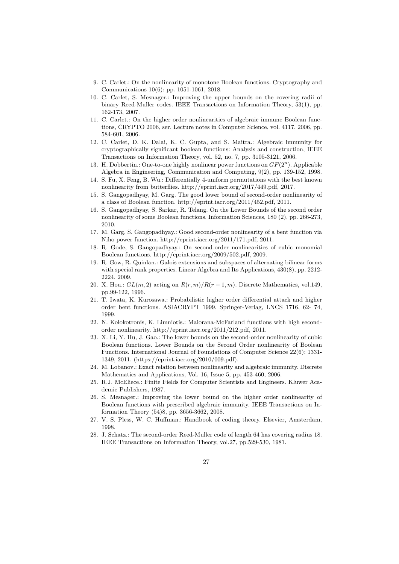- 9. C. Carlet.: On the nonlinearity of monotone Boolean functions. Cryptography and Communications 10(6): pp. 1051-1061, 2018.
- 10. C. Carlet, S. Mesnager.: Improving the upper bounds on the covering radii of binary Reed-Muller codes. IEEE Transactions on Information Theory, 53(1), pp. 162-173, 2007.
- 11. C. Carlet.: On the higher order nonlinearities of algebraic immune Boolean functions, CRYPTO 2006, ser. Lecture notes in Computer Science, vol. 4117, 2006, pp. 584-601, 2006.
- 12. C. Carlet, D. K. Dalai, K. C. Gupta, and S. Maitra.: Algebraic immunity for cryptographically significant boolean functions: Analysis and construction, IEEE Transactions on Information Theory, vol. 52, no. 7, pp. 3105-3121, 2006.
- 13. H. Dobbertin.: One-to-one highly nonlinear power functions on *GF*(2*<sup>n</sup>* ). Applicable Algebra in Engineering, Communication and Computing, 9(2), pp. 139-152, 1998.
- 14. S. Fu, X. Feng, B. Wu.: Differentially 4-uniform permutations with the best known nonlinearity from butterflies. http://eprint.iacr.org/2017/449.pdf, 2017.
- 15. S. Gangopadhyay, M. Garg. The good lower bound of second-order nonlinearity of a class of Boolean function. http://eprint.iacr.org/2011/452.pdf, 2011.
- 16. S. Gangopadhyay, S. Sarkar, R. Telang. On the Lower Bounds of the second order nonlinearity of some Boolean functions. Information Sciences, 180 (2), pp. 266-273, 2010.
- 17. M. Garg, S. Gangopadhyay.: Good second-order nonlinearity of a bent function via Niho power function. http://eprint.iacr.org/2011/171.pdf, 2011.
- 18. R. Gode, S. Gangopadhyay.: On second-order nonlinearities of cubic monomial Boolean functions. http://eprint.iacr.org/2009/502.pdf, 2009.
- 19. R. Gow, R. Quinlan.: Galois extensions and subspaces of alternating bilinear forms with special rank properties. Linear Algebra and Its Applications, 430(8), pp. 2212- 2224, 2009.
- 20. X. Hou.:  $GL(m, 2)$  acting on  $R(r, m)/R(r 1, m)$ . Discrete Mathematics, vol.149, pp.99-122, 1996.
- 21. T. Iwata, K. Kurosawa.: Probabilistic higher order differential attack and higher order bent functions. ASIACRYPT 1999, Springer-Verlag, LNCS 1716, 62- 74, 1999.
- 22. N. Kolokotronis, K. Limniotis.: Maiorana-McFarland functions with high secondorder nonlinearity. http://eprint.iacr.org/2011/212.pdf, 2011.
- 23. X. Li, Y. Hu, J. Gao.: The lower bounds on the second-order nonlinearity of cubic Boolean functions. Lower Bounds on the Second Order nonlinearity of Boolean Functions. International Journal of Foundations of Computer Science 22(6): 1331- 1349, 2011. (https://eprint.iacr.org/2010/009.pdf).
- 24. M. Lobanov.: Exact relation between nonlinearity and algebraic immunity. Discrete Mathematics and Applications, Vol. 16, Issue 5, pp. 453-460, 2006.
- 25. R.J. McEliece.: Finite Fields for Computer Scientists and Engineers. Kluwer Academic Publishers, 1987.
- 26. S. Mesnager.: Improving the lower bound on the higher order nonlinearity of Boolean functions with prescribed algebraic immunity. IEEE Transactions on Information Theory (54)8, pp. 3656-3662, 2008.
- 27. V. S. Pless, W. C. Huffman.: Handbook of coding theory. Elsevier, Amsterdam, 1998.
- 28. J. Schatz.: The second-order Reed-Muller code of length 64 has covering radius 18. IEEE Transactions on Information Theory, vol.27, pp.529-530, 1981.